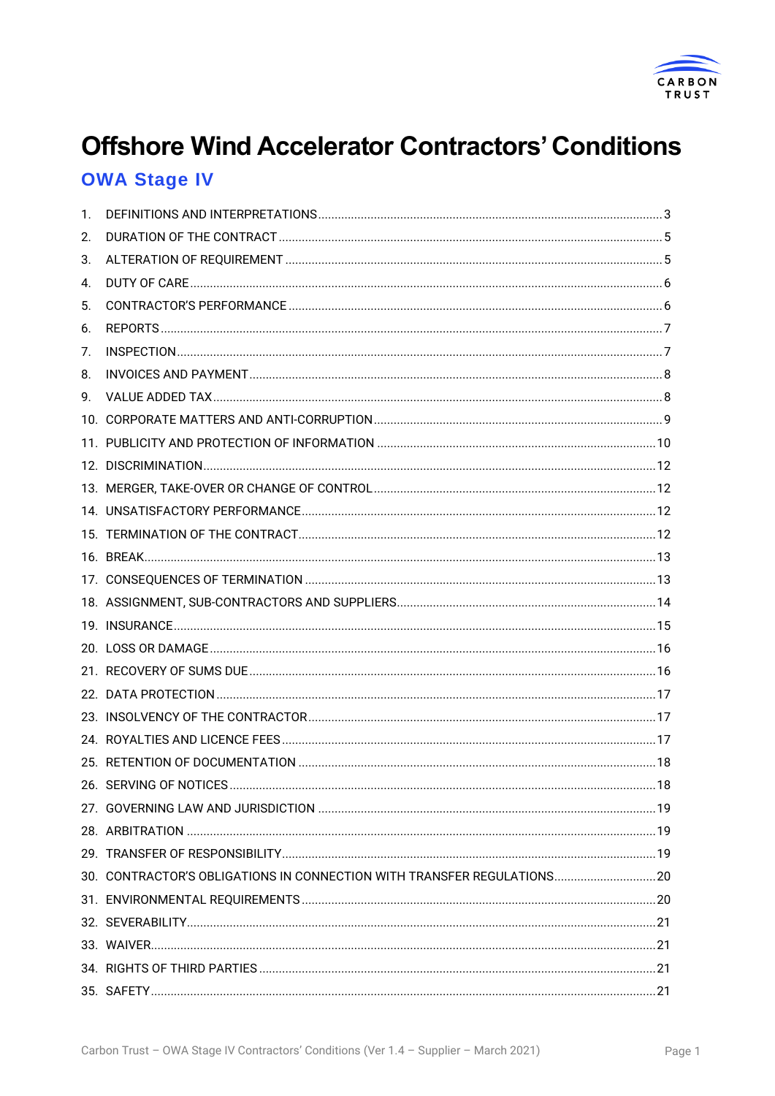

# **Offshore Wind Accelerator Contractors' Conditions**

## **OWA Stage IV**

| 1. |                                                                         |  |
|----|-------------------------------------------------------------------------|--|
| 2. |                                                                         |  |
| 3. |                                                                         |  |
| 4. |                                                                         |  |
| 5. |                                                                         |  |
| 6. |                                                                         |  |
| 7. |                                                                         |  |
| 8. |                                                                         |  |
| 9. |                                                                         |  |
|    |                                                                         |  |
|    |                                                                         |  |
|    |                                                                         |  |
|    |                                                                         |  |
|    |                                                                         |  |
|    |                                                                         |  |
|    |                                                                         |  |
|    |                                                                         |  |
|    |                                                                         |  |
|    |                                                                         |  |
|    |                                                                         |  |
|    |                                                                         |  |
|    |                                                                         |  |
|    |                                                                         |  |
|    |                                                                         |  |
|    |                                                                         |  |
|    |                                                                         |  |
|    |                                                                         |  |
|    |                                                                         |  |
|    |                                                                         |  |
|    | 30. CONTRACTOR'S OBLIGATIONS IN CONNECTION WITH TRANSFER REGULATIONS 20 |  |
|    |                                                                         |  |
|    |                                                                         |  |
|    |                                                                         |  |
|    |                                                                         |  |
|    |                                                                         |  |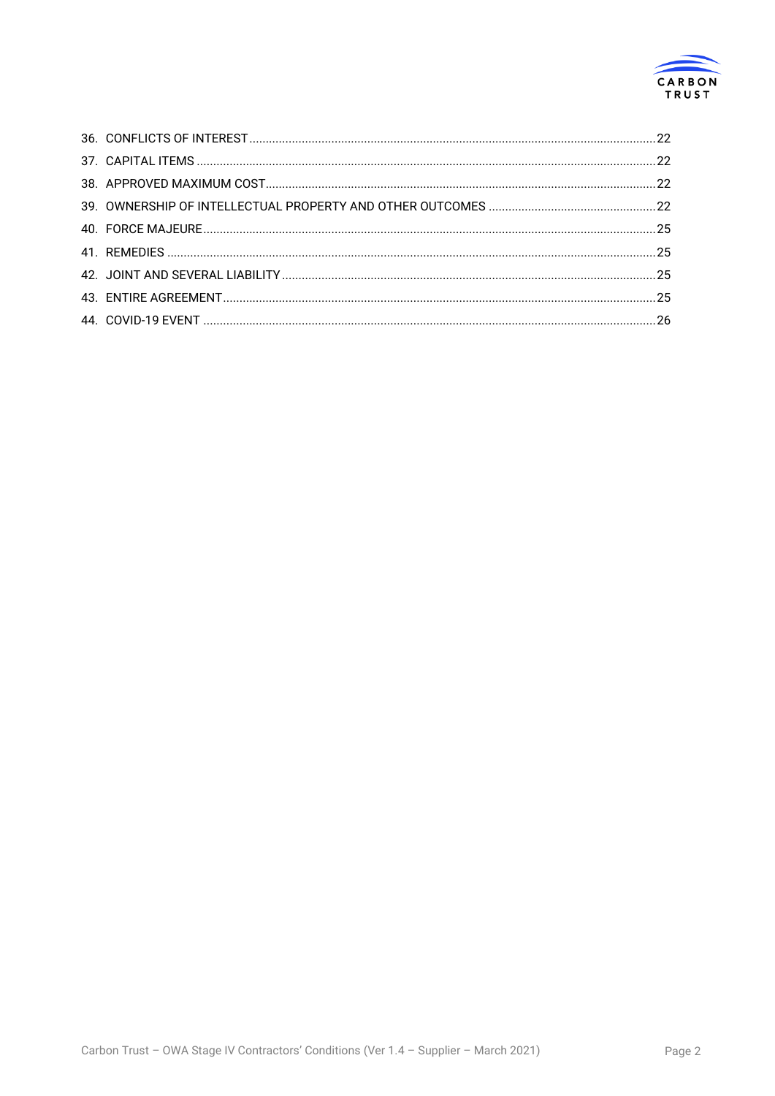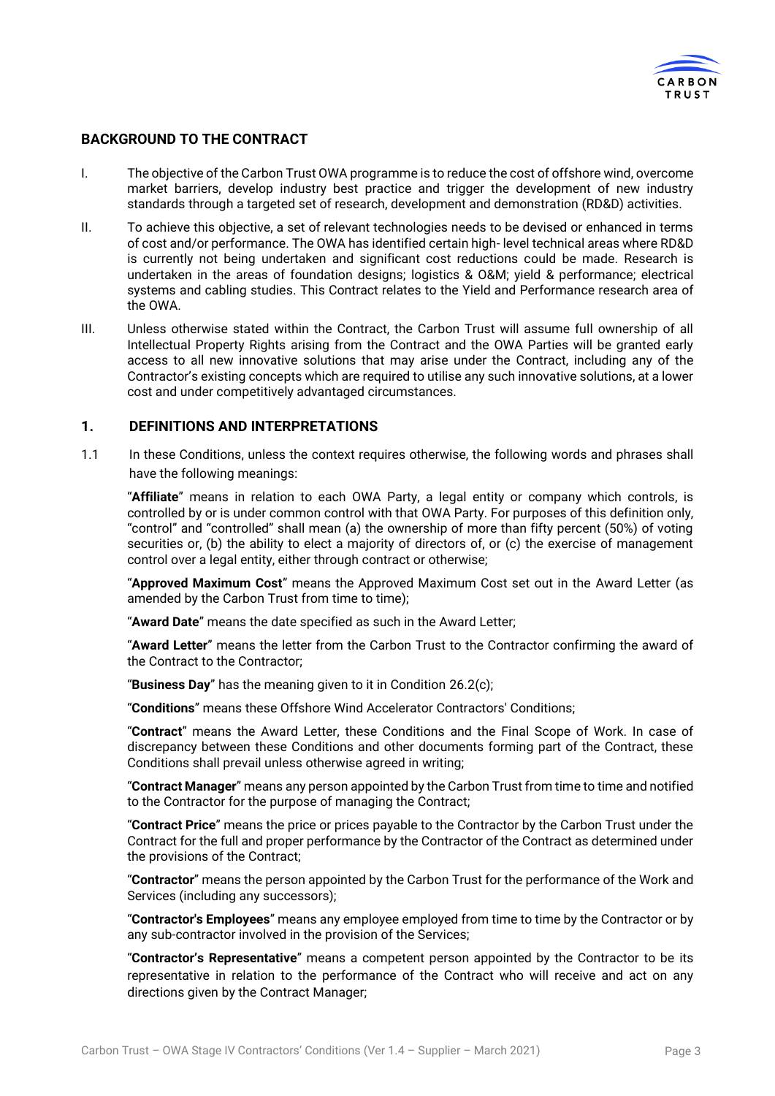

#### **BACKGROUND TO THE CONTRACT**

- I. The objective of the Carbon Trust OWA programme is to reduce the cost of offshore wind, overcome market barriers, develop industry best practice and trigger the development of new industry standards through a targeted set of research, development and demonstration (RD&D) activities.
- II. To achieve this objective, a set of relevant technologies needs to be devised or enhanced in terms of cost and/or performance. The OWA has identified certain high- level technical areas where RD&D is currently not being undertaken and significant cost reductions could be made. Research is undertaken in the areas of foundation designs; logistics & O&M; yield & performance; electrical systems and cabling studies. This Contract relates to the Yield and Performance research area of the OWA.
- III. Unless otherwise stated within the Contract, the Carbon Trust will assume full ownership of all Intellectual Property Rights arising from the Contract and the OWA Parties will be granted early access to all new innovative solutions that may arise under the Contract, including any of the Contractor's existing concepts which are required to utilise any such innovative solutions, at a lower cost and under competitively advantaged circumstances.

#### **1. DEFINITIONS AND INTERPRETATIONS**

1.1 In these Conditions, unless the context requires otherwise, the following words and phrases shall have the following meanings:

"**Affiliate**" means in relation to each OWA Party, a legal entity or company which controls, is controlled by or is under common control with that OWA Party. For purposes of this definition only, "control" and "controlled" shall mean (a) the ownership of more than fifty percent (50%) of voting securities or, (b) the ability to elect a majority of directors of, or (c) the exercise of management control over a legal entity, either through contract or otherwise;

"**Approved Maximum Cost**" means the Approved Maximum Cost set out in the Award Letter (as amended by the Carbon Trust from time to time);

"**Award Date**" means the date specified as such in the Award Letter;

"**Award Letter**" means the letter from the Carbon Trust to the Contractor confirming the award of the Contract to the Contractor;

"**Business Day**" has the meaning given to it in Condition [26.2\(](#page-17-0)c);

"**Conditions**" means these Offshore Wind Accelerator Contractors' Conditions;

"**Contract**" means the Award Letter, these Conditions and the Final Scope of Work. In case of discrepancy between these Conditions and other documents forming part of the Contract, these Conditions shall prevail unless otherwise agreed in writing;

"**Contract Manager**" means any person appointed by the Carbon Trust from time to time and notified to the Contractor for the purpose of managing the Contract;

"**Contract Price**" means the price or prices payable to the Contractor by the Carbon Trust under the Contract for the full and proper performance by the Contractor of the Contract as determined under the provisions of the Contract;

"**Contractor**" means the person appointed by the Carbon Trust for the performance of the Work and Services (including any successors);

"**Contractor's Employees**" means any employee employed from time to time by the Contractor or by any sub-contractor involved in the provision of the Services;

"**Contractor's Representative**" means a competent person appointed by the Contractor to be its representative in relation to the performance of the Contract who will receive and act on any directions given by the Contract Manager;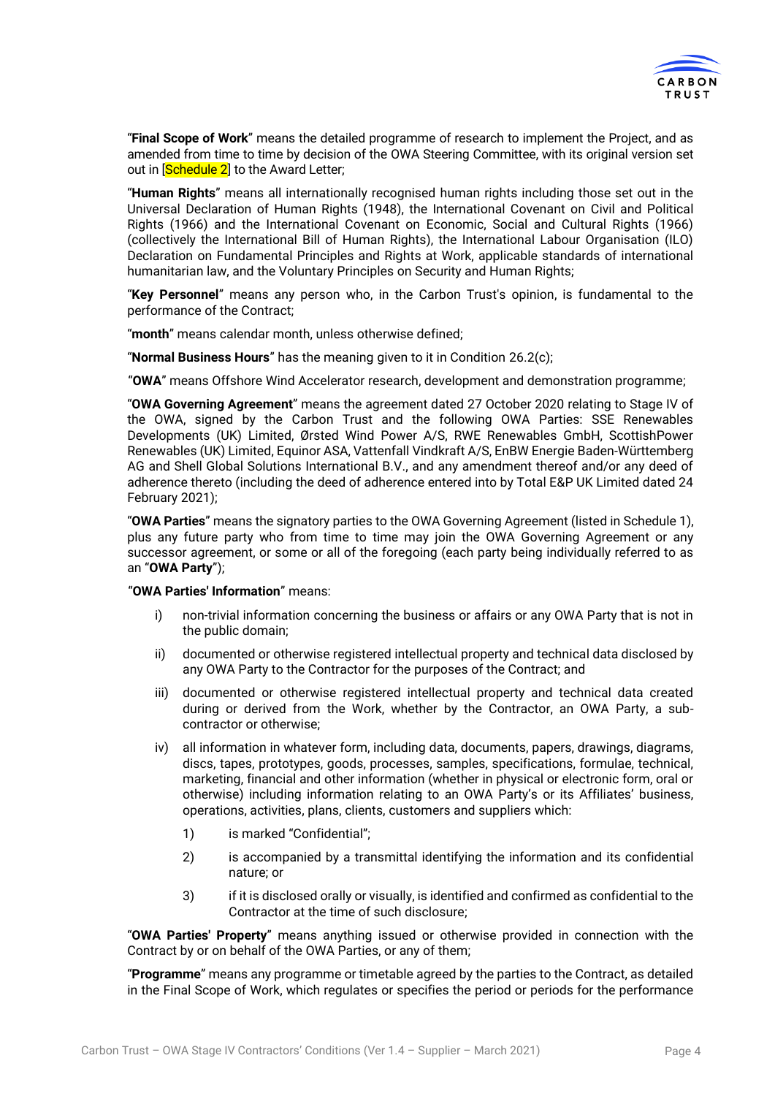

"**Final Scope of Work**" means the detailed programme of research to implement the Project, and as amended from time to time by decision of the OWA Steering Committee, with its original version set out in **Schedule 2** to the Award Letter;

"**Human Rights**" means all internationally recognised human rights including those set out in the Universal Declaration of Human Rights (1948), the International Covenant on Civil and Political Rights (1966) and the International Covenant on Economic, Social and Cultural Rights (1966) (collectively the International Bill of Human Rights), the International Labour Organisation (ILO) Declaration on Fundamental Principles and Rights at Work, applicable standards of international humanitarian law, and the Voluntary Principles on Security and Human Rights;

"**Key Personnel**" means any person who, in the Carbon Trust's opinion, is fundamental to the performance of the Contract;

"**month**" means calendar month, unless otherwise defined;

"**Normal Business Hours**" has the meaning given to it in Condition [26.2\(](#page-17-0)c);

"**OWA**" means Offshore Wind Accelerator research, development and demonstration programme;

"**OWA Governing Agreement**" means the agreement dated 27 October 2020 relating to Stage IV of the OWA, signed by the Carbon Trust and the following OWA Parties: SSE Renewables Developments (UK) Limited, Ørsted Wind Power A/S, RWE Renewables GmbH, ScottishPower Renewables (UK) Limited, Equinor ASA, Vattenfall Vindkraft A/S, EnBW Energie Baden-Württemberg AG and Shell Global Solutions International B.V., and any amendment thereof and/or any deed of adherence thereto (including the deed of adherence entered into by Total E&P UK Limited dated 24 February 2021);

"**OWA Parties**" means the signatory parties to the OWA Governing Agreement (listed in Schedule 1), plus any future party who from time to time may join the OWA Governing Agreement or any successor agreement, or some or all of the foregoing (each party being individually referred to as an "**OWA Party**");

#### "**OWA Parties' Information**" means:

- i) non-trivial information concerning the business or affairs or any OWA Party that is not in the public domain;
- ii) documented or otherwise registered intellectual property and technical data disclosed by any OWA Party to the Contractor for the purposes of the Contract; and
- iii) documented or otherwise registered intellectual property and technical data created during or derived from the Work, whether by the Contractor, an OWA Party, a subcontractor or otherwise;
- iv) all information in whatever form, including data, documents, papers, drawings, diagrams, discs, tapes, prototypes, goods, processes, samples, specifications, formulae, technical, marketing, financial and other information (whether in physical or electronic form, oral or otherwise) including information relating to an OWA Party's or its Affiliates' business, operations, activities, plans, clients, customers and suppliers which:
	- 1) is marked "Confidential";
	- 2) is accompanied by a transmittal identifying the information and its confidential nature; or
	- 3) if it is disclosed orally or visually, is identified and confirmed as confidential to the Contractor at the time of such disclosure;

"**OWA Parties' Property**" means anything issued or otherwise provided in connection with the Contract by or on behalf of the OWA Parties, or any of them;

"**Programme**" means any programme or timetable agreed by the parties to the Contract, as detailed in the Final Scope of Work, which regulates or specifies the period or periods for the performance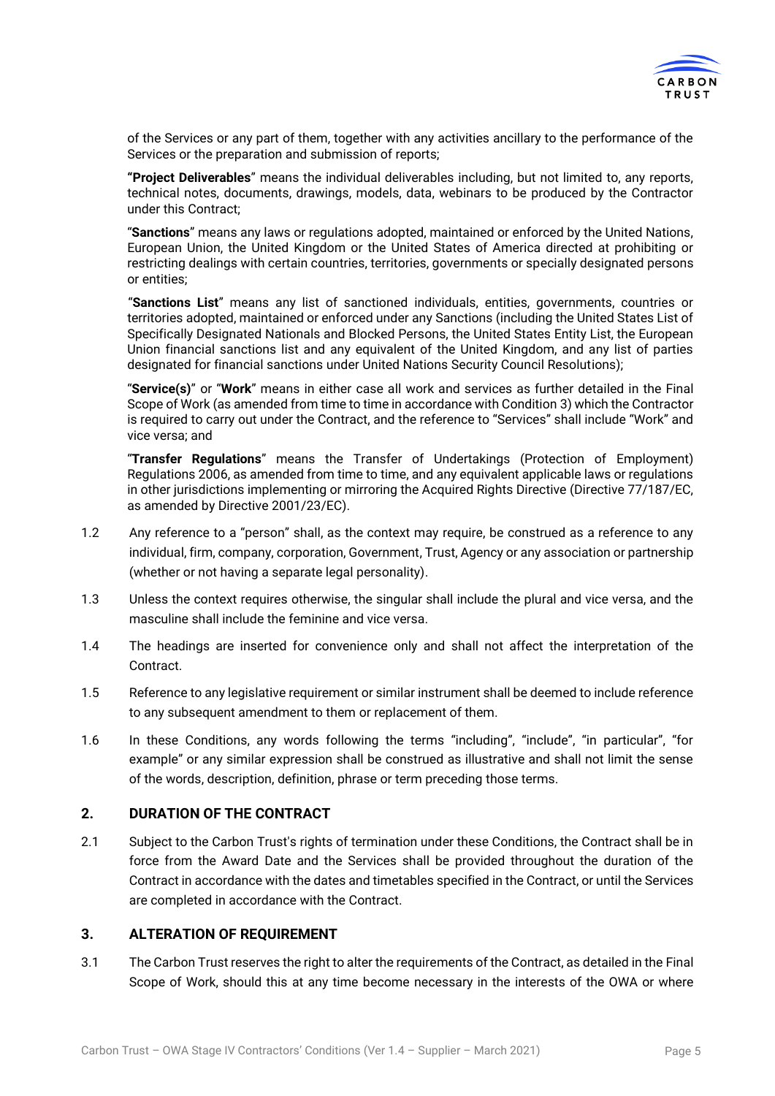

of the Services or any part of them, together with any activities ancillary to the performance of the Services or the preparation and submission of reports;

**"Project Deliverables**" means the individual deliverables including, but not limited to, any reports, technical notes, documents, drawings, models, data, webinars to be produced by the Contractor under this Contract;

"**Sanctions**" means any laws or regulations adopted, maintained or enforced by the United Nations, European Union, the United Kingdom or the United States of America directed at prohibiting or restricting dealings with certain countries, territories, governments or specially designated persons or entities;

"**Sanctions List**" means any list of sanctioned individuals, entities, governments, countries or territories adopted, maintained or enforced under any Sanctions (including the United States List of Specifically Designated Nationals and Blocked Persons, the United States Entity List, the European Union financial sanctions list and any equivalent of the United Kingdom, and any list of parties designated for financial sanctions under United Nations Security Council Resolutions);

"**Service(s)**" or "**Work**" means in either case all work and services as further detailed in the Final Scope of Work (as amended from time to time in accordance with Conditio[n 3\)](#page-4-0) which the Contractor is required to carry out under the Contract, and the reference to "Services" shall include "Work" and vice versa; and

"**Transfer Regulations**" means the Transfer of Undertakings (Protection of Employment) Regulations 2006, as amended from time to time, and any equivalent applicable laws or regulations in other jurisdictions implementing or mirroring the Acquired Rights Directive (Directive 77/187/EC, as amended by Directive 2001/23/EC).

- 1.2 Any reference to a "person" shall, as the context may require, be construed as a reference to any individual, firm, company, corporation, Government, Trust, Agency or any association or partnership (whether or not having a separate legal personality).
- 1.3 Unless the context requires otherwise, the singular shall include the plural and vice versa, and the masculine shall include the feminine and vice versa.
- 1.4 The headings are inserted for convenience only and shall not affect the interpretation of the **Contract.**
- 1.5 Reference to any legislative requirement or similar instrument shall be deemed to include reference to any subsequent amendment to them or replacement of them.
- 1.6 In these Conditions, any words following the terms "including", "include", "in particular", "for example" or any similar expression shall be construed as illustrative and shall not limit the sense of the words, description, definition, phrase or term preceding those terms.

## **2. DURATION OF THE CONTRACT**

2.1 Subject to the Carbon Trust's rights of termination under these Conditions, the Contract shall be in force from the Award Date and the Services shall be provided throughout the duration of the Contract in accordance with the dates and timetables specified in the Contract, or until the Services are completed in accordance with the Contract.

## <span id="page-4-0"></span>**3. ALTERATION OF REQUIREMENT**

3.1 The Carbon Trust reserves the right to alter the requirements of the Contract, as detailed in the Final Scope of Work, should this at any time become necessary in the interests of the OWA or where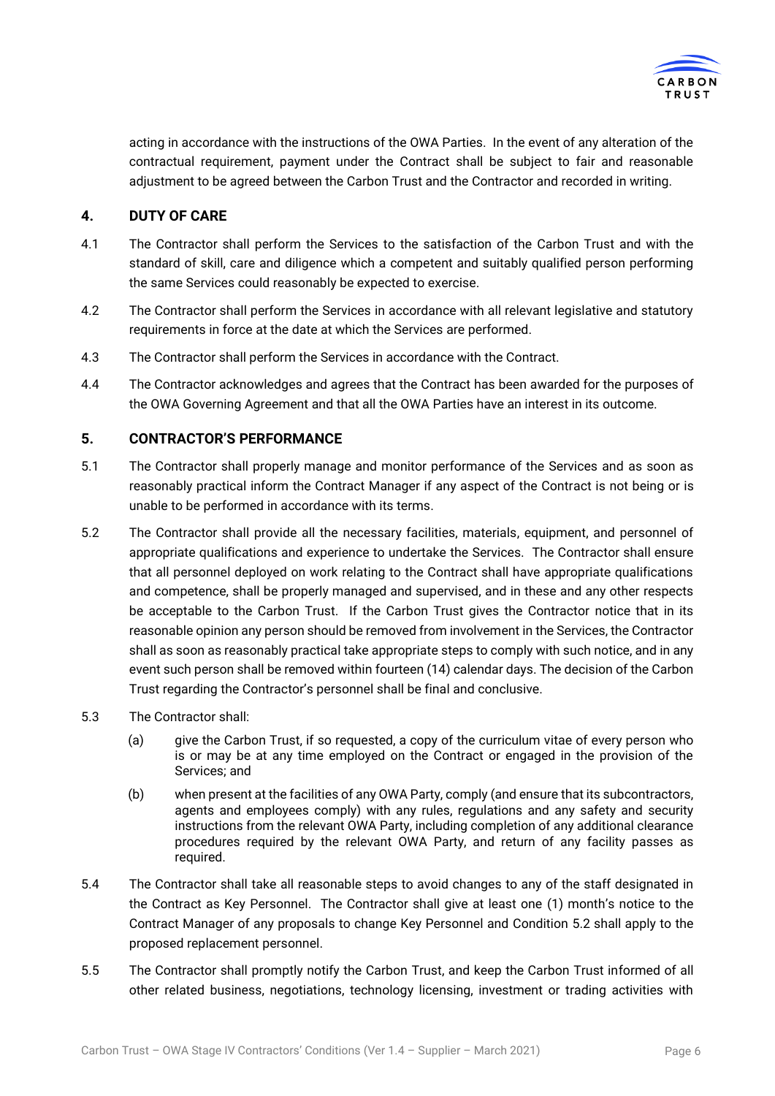

acting in accordance with the instructions of the OWA Parties. In the event of any alteration of the contractual requirement, payment under the Contract shall be subject to fair and reasonable adjustment to be agreed between the Carbon Trust and the Contractor and recorded in writing.

## **4. DUTY OF CARE**

- 4.1 The Contractor shall perform the Services to the satisfaction of the Carbon Trust and with the standard of skill, care and diligence which a competent and suitably qualified person performing the same Services could reasonably be expected to exercise.
- <span id="page-5-1"></span>4.2 The Contractor shall perform the Services in accordance with all relevant legislative and statutory requirements in force at the date at which the Services are performed.
- 4.3 The Contractor shall perform the Services in accordance with the Contract.
- 4.4 The Contractor acknowledges and agrees that the Contract has been awarded for the purposes of the OWA Governing Agreement and that all the OWA Parties have an interest in its outcome.

## **5. CONTRACTOR'S PERFORMANCE**

- 5.1 The Contractor shall properly manage and monitor performance of the Services and as soon as reasonably practical inform the Contract Manager if any aspect of the Contract is not being or is unable to be performed in accordance with its terms.
- <span id="page-5-0"></span>5.2 The Contractor shall provide all the necessary facilities, materials, equipment, and personnel of appropriate qualifications and experience to undertake the Services. The Contractor shall ensure that all personnel deployed on work relating to the Contract shall have appropriate qualifications and competence, shall be properly managed and supervised, and in these and any other respects be acceptable to the Carbon Trust. If the Carbon Trust gives the Contractor notice that in its reasonable opinion any person should be removed from involvement in the Services, the Contractor shall as soon as reasonably practical take appropriate steps to comply with such notice, and in any event such person shall be removed within fourteen (14) calendar days. The decision of the Carbon Trust regarding the Contractor's personnel shall be final and conclusive.
- 5.3 The Contractor shall:
	- (a) give the Carbon Trust, if so requested, a copy of the curriculum vitae of every person who is or may be at any time employed on the Contract or engaged in the provision of the Services; and
	- (b) when present at the facilities of any OWA Party, comply (and ensure that its subcontractors, agents and employees comply) with any rules, regulations and any safety and security instructions from the relevant OWA Party, including completion of any additional clearance procedures required by the relevant OWA Party, and return of any facility passes as required.
- 5.4 The Contractor shall take all reasonable steps to avoid changes to any of the staff designated in the Contract as Key Personnel. The Contractor shall give at least one (1) month's notice to the Contract Manager of any proposals to change Key Personnel and Condition [5.2](#page-5-0) shall apply to the proposed replacement personnel.
- 5.5 The Contractor shall promptly notify the Carbon Trust, and keep the Carbon Trust informed of all other related business, negotiations, technology licensing, investment or trading activities with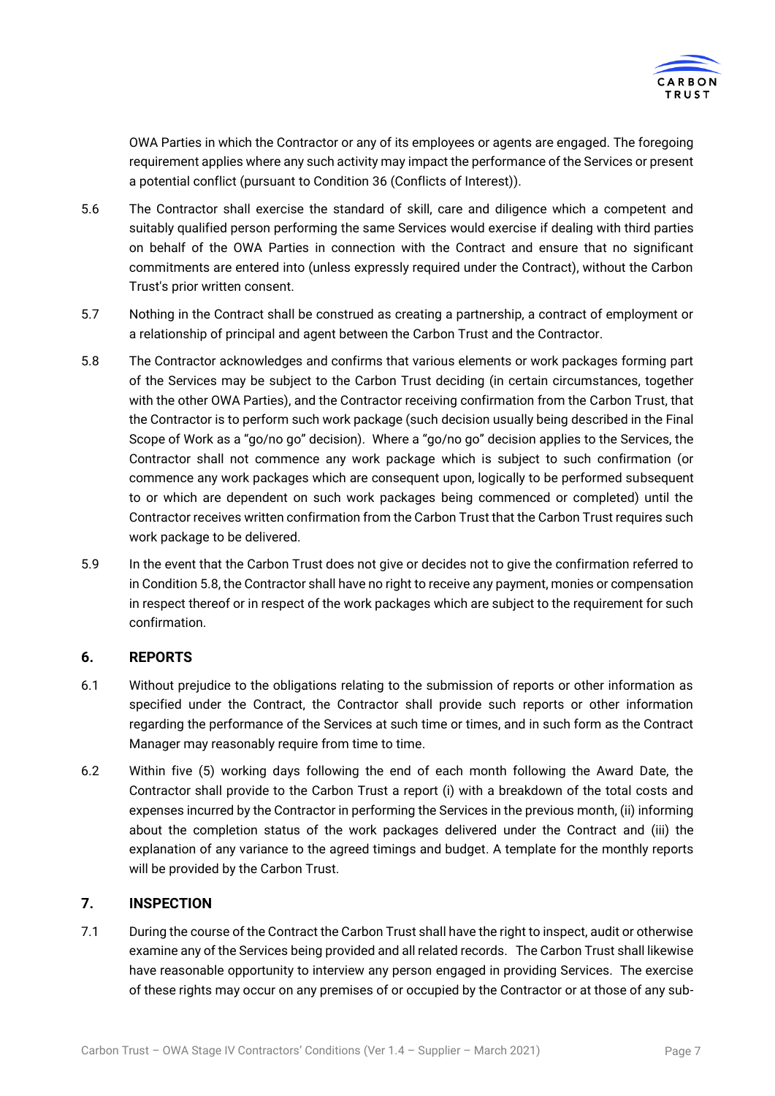

OWA Parties in which the Contractor or any of its employees or agents are engaged. The foregoing requirement applies where any such activity may impact the performance of the Services or present a potential conflict (pursuant to Condition [36](#page-21-0) (Conflicts of Interest)).

- 5.6 The Contractor shall exercise the standard of skill, care and diligence which a competent and suitably qualified person performing the same Services would exercise if dealing with third parties on behalf of the OWA Parties in connection with the Contract and ensure that no significant commitments are entered into (unless expressly required under the Contract), without the Carbon Trust's prior written consent.
- 5.7 Nothing in the Contract shall be construed as creating a partnership, a contract of employment or a relationship of principal and agent between the Carbon Trust and the Contractor.
- <span id="page-6-0"></span>5.8 The Contractor acknowledges and confirms that various elements or work packages forming part of the Services may be subject to the Carbon Trust deciding (in certain circumstances, together with the other OWA Parties), and the Contractor receiving confirmation from the Carbon Trust, that the Contractor is to perform such work package (such decision usually being described in the Final Scope of Work as a "go/no go" decision). Where a "go/no go" decision applies to the Services, the Contractor shall not commence any work package which is subject to such confirmation (or commence any work packages which are consequent upon, logically to be performed subsequent to or which are dependent on such work packages being commenced or completed) until the Contractor receives written confirmation from the Carbon Trust that the Carbon Trust requires such work package to be delivered.
- 5.9 In the event that the Carbon Trust does not give or decides not to give the confirmation referred to in Condition [5.8,](#page-6-0) the Contractor shall have no right to receive any payment, monies or compensation in respect thereof or in respect of the work packages which are subject to the requirement for such confirmation.

## <span id="page-6-1"></span>**6. REPORTS**

- 6.1 Without prejudice to the obligations relating to the submission of reports or other information as specified under the Contract, the Contractor shall provide such reports or other information regarding the performance of the Services at such time or times, and in such form as the Contract Manager may reasonably require from time to time.
- 6.2 Within five (5) working days following the end of each month following the Award Date, the Contractor shall provide to the Carbon Trust a report (i) with a breakdown of the total costs and expenses incurred by the Contractor in performing the Services in the previous month, (ii) informing about the completion status of the work packages delivered under the Contract and (iii) the explanation of any variance to the agreed timings and budget. A template for the monthly reports will be provided by the Carbon Trust.

## <span id="page-6-2"></span>**7. INSPECTION**

7.1 During the course of the Contract the Carbon Trust shall have the right to inspect, audit or otherwise examine any of the Services being provided and all related records. The Carbon Trust shall likewise have reasonable opportunity to interview any person engaged in providing Services. The exercise of these rights may occur on any premises of or occupied by the Contractor or at those of any sub-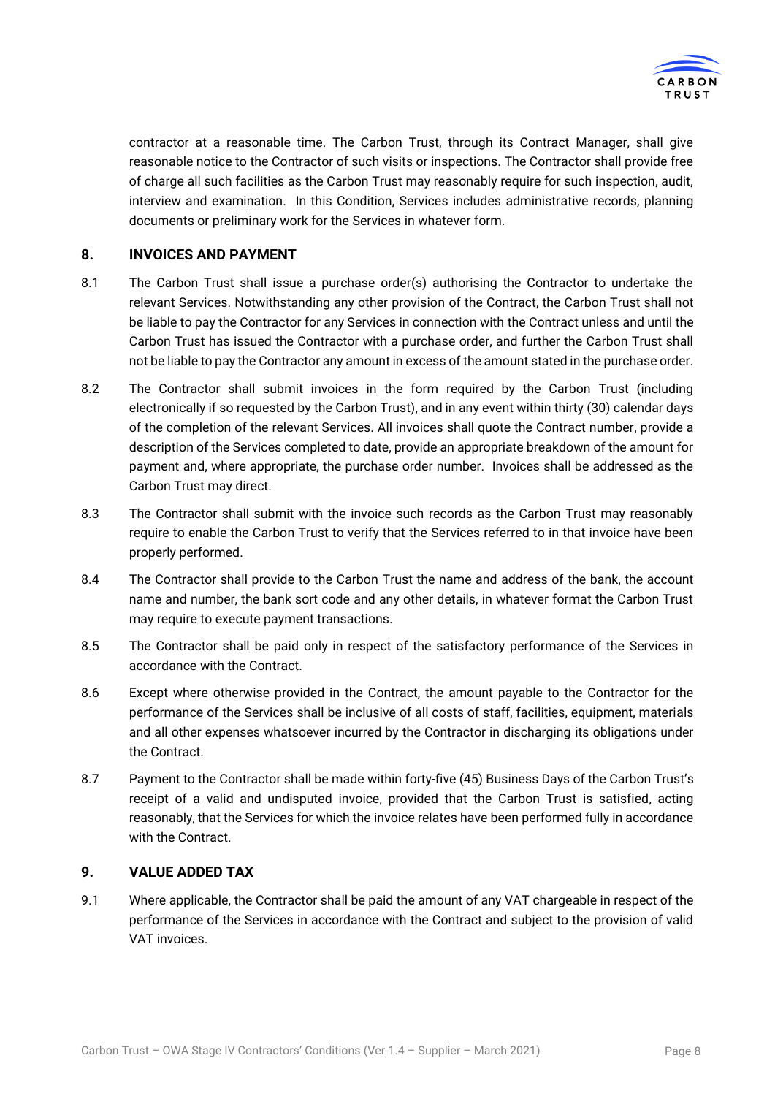

contractor at a reasonable time. The Carbon Trust, through its Contract Manager, shall give reasonable notice to the Contractor of such visits or inspections. The Contractor shall provide free of charge all such facilities as the Carbon Trust may reasonably require for such inspection, audit, interview and examination. In this Condition, Services includes administrative records, planning documents or preliminary work for the Services in whatever form.

## **8. INVOICES AND PAYMENT**

- 8.1 The Carbon Trust shall issue a purchase order(s) authorising the Contractor to undertake the relevant Services. Notwithstanding any other provision of the Contract, the Carbon Trust shall not be liable to pay the Contractor for any Services in connection with the Contract unless and until the Carbon Trust has issued the Contractor with a purchase order, and further the Carbon Trust shall not be liable to pay the Contractor any amount in excess of the amount stated in the purchase order.
- 8.2 The Contractor shall submit invoices in the form required by the Carbon Trust (including electronically if so requested by the Carbon Trust), and in any event within thirty (30) calendar days of the completion of the relevant Services. All invoices shall quote the Contract number, provide a description of the Services completed to date, provide an appropriate breakdown of the amount for payment and, where appropriate, the purchase order number. Invoices shall be addressed as the Carbon Trust may direct.
- 8.3 The Contractor shall submit with the invoice such records as the Carbon Trust may reasonably require to enable the Carbon Trust to verify that the Services referred to in that invoice have been properly performed.
- 8.4 The Contractor shall provide to the Carbon Trust the name and address of the bank, the account name and number, the bank sort code and any other details, in whatever format the Carbon Trust may require to execute payment transactions.
- <span id="page-7-0"></span>8.5 The Contractor shall be paid only in respect of the satisfactory performance of the Services in accordance with the Contract.
- 8.6 Except where otherwise provided in the Contract, the amount payable to the Contractor for the performance of the Services shall be inclusive of all costs of staff, facilities, equipment, materials and all other expenses whatsoever incurred by the Contractor in discharging its obligations under the Contract.
- <span id="page-7-1"></span>8.7 Payment to the Contractor shall be made within forty-five (45) Business Days of the Carbon Trust's receipt of a valid and undisputed invoice, provided that the Carbon Trust is satisfied, acting reasonably, that the Services for which the invoice relates have been performed fully in accordance with the Contract.

#### **9. VALUE ADDED TAX**

9.1 Where applicable, the Contractor shall be paid the amount of any VAT chargeable in respect of the performance of the Services in accordance with the Contract and subject to the provision of valid VAT invoices.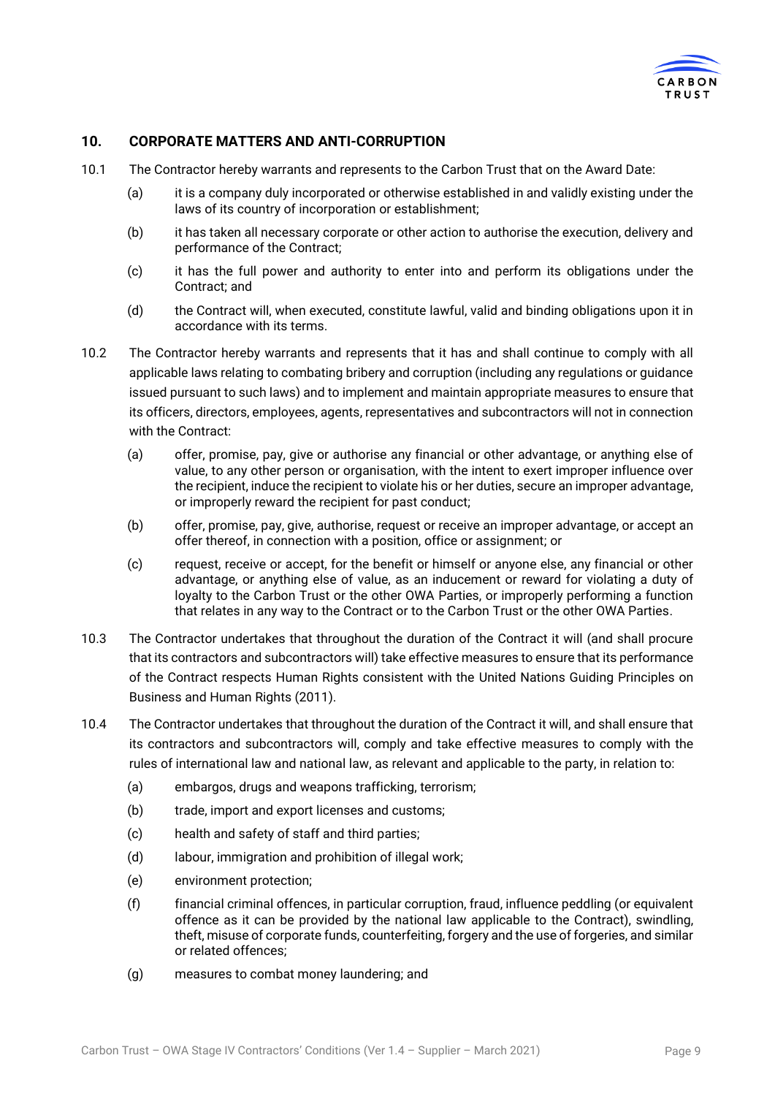

## <span id="page-8-2"></span>**10. CORPORATE MATTERS AND ANTI-CORRUPTION**

- 10.1 The Contractor hereby warrants and represents to the Carbon Trust that on the Award Date:
	- (a) it is a company duly incorporated or otherwise established in and validly existing under the laws of its country of incorporation or establishment;
	- (b) it has taken all necessary corporate or other action to authorise the execution, delivery and performance of the Contract;
	- (c) it has the full power and authority to enter into and perform its obligations under the Contract; and
	- (d) the Contract will, when executed, constitute lawful, valid and binding obligations upon it in accordance with its terms.
- <span id="page-8-0"></span>10.2 The Contractor hereby warrants and represents that it has and shall continue to comply with all applicable laws relating to combating bribery and corruption (including any regulations or guidance issued pursuant to such laws) and to implement and maintain appropriate measures to ensure that its officers, directors, employees, agents, representatives and subcontractors will not in connection with the Contract:
	- (a) offer, promise, pay, give or authorise any financial or other advantage, or anything else of value, to any other person or organisation, with the intent to exert improper influence over the recipient, induce the recipient to violate his or her duties, secure an improper advantage, or improperly reward the recipient for past conduct;
	- (b) offer, promise, pay, give, authorise, request or receive an improper advantage, or accept an offer thereof, in connection with a position, office or assignment; or
	- (c) request, receive or accept, for the benefit or himself or anyone else, any financial or other advantage, or anything else of value, as an inducement or reward for violating a duty of loyalty to the Carbon Trust or the other OWA Parties, or improperly performing a function that relates in any way to the Contract or to the Carbon Trust or the other OWA Parties.
- <span id="page-8-3"></span>10.3 The Contractor undertakes that throughout the duration of the Contract it will (and shall procure that its contractors and subcontractors will) take effective measures to ensure that its performance of the Contract respects Human Rights consistent with the United Nations Guiding Principles on Business and Human Rights (2011).
- <span id="page-8-1"></span>10.4 The Contractor undertakes that throughout the duration of the Contract it will, and shall ensure that its contractors and subcontractors will, comply and take effective measures to comply with the rules of international law and national law, as relevant and applicable to the party, in relation to:
	- (a) embargos, drugs and weapons trafficking, terrorism;
	- (b) trade, import and export licenses and customs;
	- (c) health and safety of staff and third parties;
	- (d) labour, immigration and prohibition of illegal work;
	- (e) environment protection;
	- (f) financial criminal offences, in particular corruption, fraud, influence peddling (or equivalent offence as it can be provided by the national law applicable to the Contract), swindling, theft, misuse of corporate funds, counterfeiting, forgery and the use of forgeries, and similar or related offences;
	- (g) measures to combat money laundering; and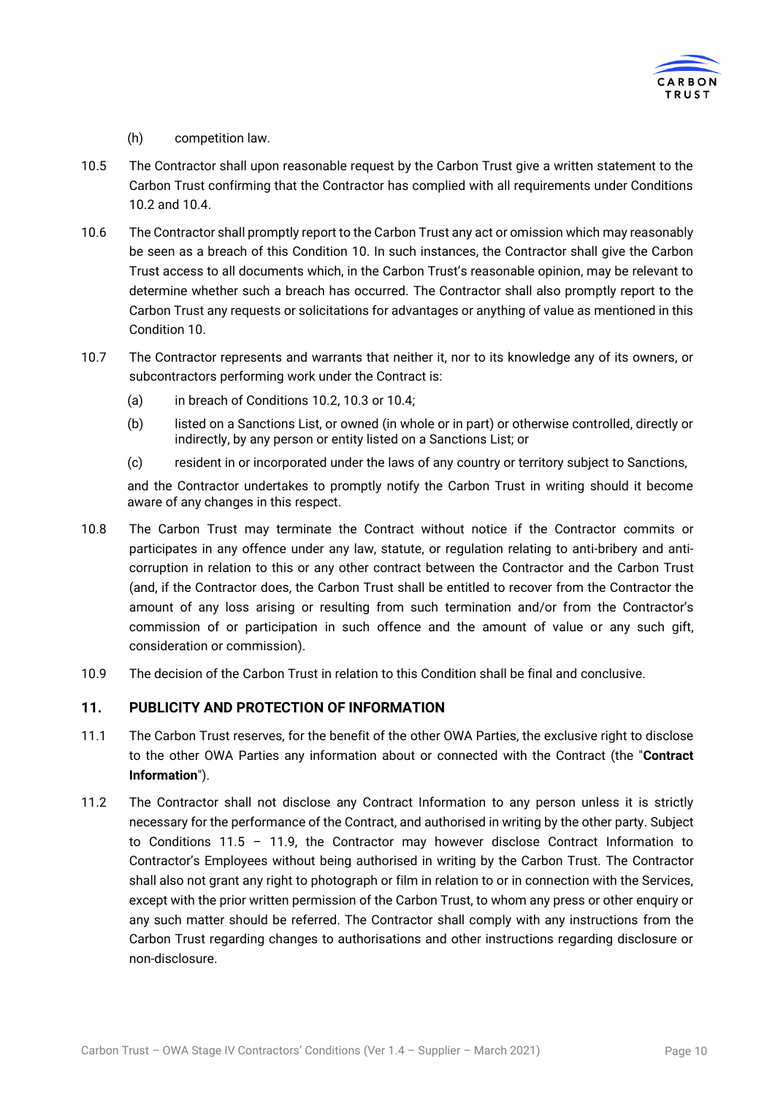

#### (h) competition law.

- 10.5 The Contractor shall upon reasonable request by the Carbon Trust give a written statement to the Carbon Trust confirming that the Contractor has complied with all requirements under Conditions [10.2](#page-8-0) and [10.4.](#page-8-1)
- 10.6 The Contractor shall promptly report to the Carbon Trust any act or omission which may reasonably be seen as a breach of this Condition [10.](#page-8-2) In such instances, the Contractor shall give the Carbon Trust access to all documents which, in the Carbon Trust's reasonable opinion, may be relevant to determine whether such a breach has occurred. The Contractor shall also promptly report to the Carbon Trust any requests or solicitations for advantages or anything of value as mentioned in this Condition [10.](#page-8-2)
- 10.7 The Contractor represents and warrants that neither it, nor to its knowledge any of its owners, or subcontractors performing work under the Contract is:
	- (a) in breach of Conditions [10.2,](#page-8-0) [10.3](#page-8-3) or [10.4;](#page-8-1)
	- (b) listed on a Sanctions List, or owned (in whole or in part) or otherwise controlled, directly or indirectly, by any person or entity listed on a Sanctions List; or
	- (c) resident in or incorporated under the laws of any country or territory subject to Sanctions,

and the Contractor undertakes to promptly notify the Carbon Trust in writing should it become aware of any changes in this respect.

- 10.8 The Carbon Trust may terminate the Contract without notice if the Contractor commits or participates in any offence under any law, statute, or regulation relating to anti-bribery and anticorruption in relation to this or any other contract between the Contractor and the Carbon Trust (and, if the Contractor does, the Carbon Trust shall be entitled to recover from the Contractor the amount of any loss arising or resulting from such termination and/or from the Contractor's commission of or participation in such offence and the amount of value or any such gift, consideration or commission).
- 10.9 The decision of the Carbon Trust in relation to this Condition shall be final and conclusive.

## <span id="page-9-1"></span>**11. PUBLICITY AND PROTECTION OF INFORMATION**

- 11.1 The Carbon Trust reserves, for the benefit of the other OWA Parties, the exclusive right to disclose to the other OWA Parties any information about or connected with the Contract (the "**Contract Information**").
- <span id="page-9-0"></span>11.2 The Contractor shall not disclose any Contract Information to any person unless it is strictly necessary for the performance of the Contract, and authorised in writing by the other party. Subject to Conditions [11.5](#page-10-0) – [11.9,](#page-10-1) the Contractor may however disclose Contract Information to Contractor's Employees without being authorised in writing by the Carbon Trust. The Contractor shall also not grant any right to photograph or film in relation to or in connection with the Services, except with the prior written permission of the Carbon Trust, to whom any press or other enquiry or any such matter should be referred. The Contractor shall comply with any instructions from the Carbon Trust regarding changes to authorisations and other instructions regarding disclosure or non-disclosure.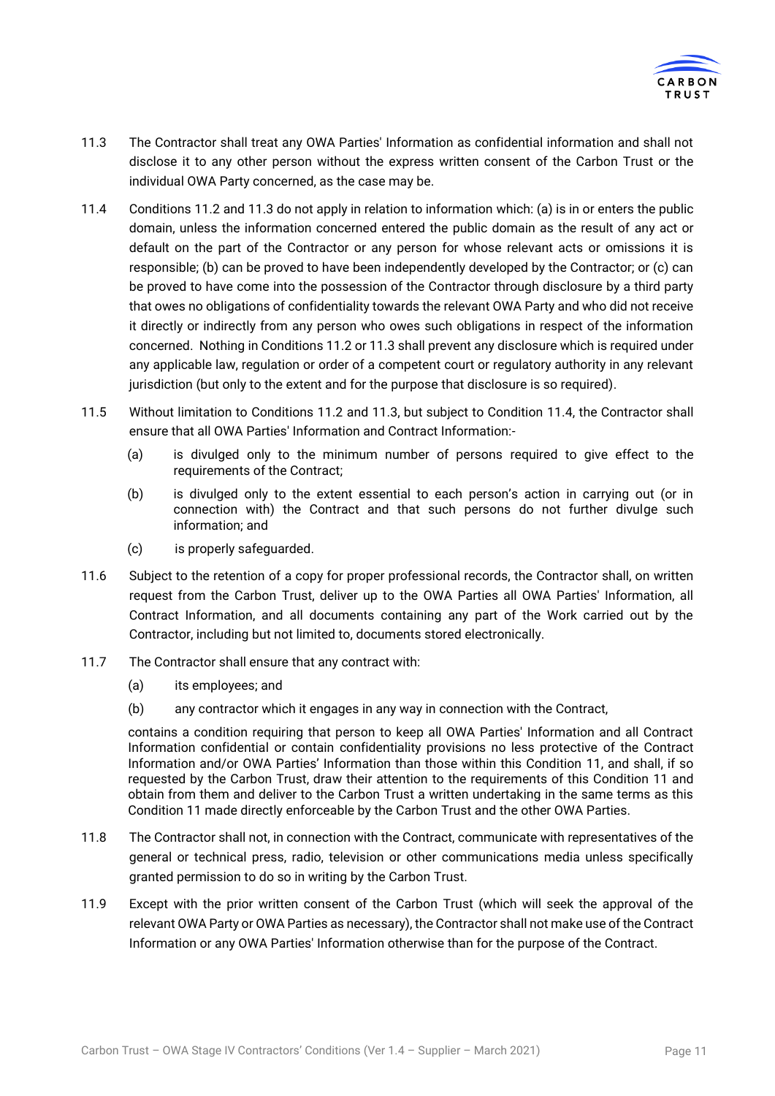

- <span id="page-10-2"></span>11.3 The Contractor shall treat any OWA Parties' Information as confidential information and shall not disclose it to any other person without the express written consent of the Carbon Trust or the individual OWA Party concerned, as the case may be.
- <span id="page-10-3"></span>11.4 Conditions [11.2](#page-9-0) an[d 11.3](#page-10-2) do not apply in relation to information which: (a) is in or enters the public domain, unless the information concerned entered the public domain as the result of any act or default on the part of the Contractor or any person for whose relevant acts or omissions it is responsible; (b) can be proved to have been independently developed by the Contractor; or (c) can be proved to have come into the possession of the Contractor through disclosure by a third party that owes no obligations of confidentiality towards the relevant OWA Party and who did not receive it directly or indirectly from any person who owes such obligations in respect of the information concerned. Nothing in Conditions [11.2](#page-9-0) or [11.3](#page-10-2) shall prevent any disclosure which is required under any applicable law, regulation or order of a competent court or regulatory authority in any relevant jurisdiction (but only to the extent and for the purpose that disclosure is so required).
- <span id="page-10-0"></span>11.5 Without limitation to Conditions [11.2](#page-9-0) and [11.3,](#page-10-2) but subject to Condition [11.4,](#page-10-3) the Contractor shall ensure that all OWA Parties' Information and Contract Information:-
	- (a) is divulged only to the minimum number of persons required to give effect to the requirements of the Contract;
	- (b) is divulged only to the extent essential to each person's action in carrying out (or in connection with) the Contract and that such persons do not further divulge such information; and
	- (c) is properly safeguarded.
- 11.6 Subject to the retention of a copy for proper professional records, the Contractor shall, on written request from the Carbon Trust, deliver up to the OWA Parties all OWA Parties' Information, all Contract Information, and all documents containing any part of the Work carried out by the Contractor, including but not limited to, documents stored electronically.
- 11.7 The Contractor shall ensure that any contract with:
	- (a) its employees; and
	- (b) any contractor which it engages in any way in connection with the Contract,

contains a condition requiring that person to keep all OWA Parties' Information and all Contract Information confidential or contain confidentiality provisions no less protective of the Contract Information and/or OWA Parties' Information than those within this Condition [11,](#page-9-1) and shall, if so requested by the Carbon Trust, draw their attention to the requirements of this Condition [11](#page-9-1) and obtain from them and deliver to the Carbon Trust a written undertaking in the same terms as this Condition [11](#page-9-1) made directly enforceable by the Carbon Trust and the other OWA Parties.

- 11.8 The Contractor shall not, in connection with the Contract, communicate with representatives of the general or technical press, radio, television or other communications media unless specifically granted permission to do so in writing by the Carbon Trust.
- <span id="page-10-1"></span>11.9 Except with the prior written consent of the Carbon Trust (which will seek the approval of the relevant OWA Party or OWA Parties as necessary), the Contractor shall not make use of the Contract Information or any OWA Parties' Information otherwise than for the purpose of the Contract.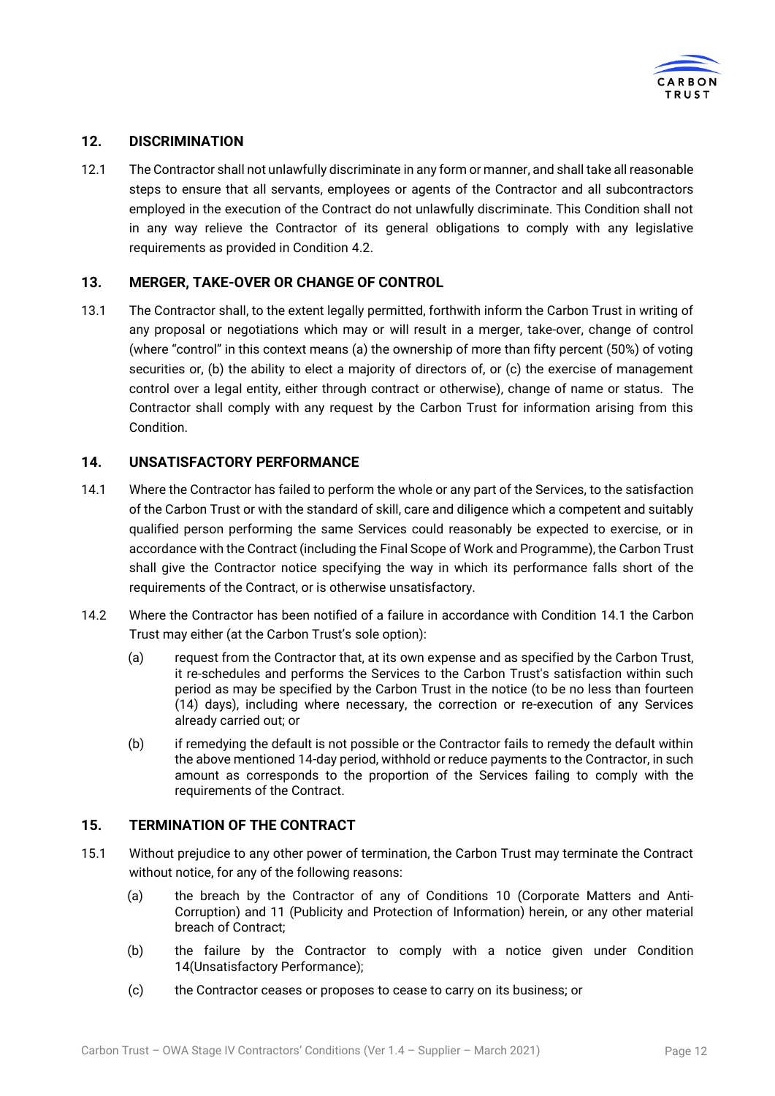

## **12. DISCRIMINATION**

12.1 The Contractor shall not unlawfully discriminate in any form or manner, and shall take all reasonable steps to ensure that all servants, employees or agents of the Contractor and all subcontractors employed in the execution of the Contract do not unlawfully discriminate. This Condition shall not in any way relieve the Contractor of its general obligations to comply with any legislative requirements as provided in Condition [4.2.](#page-5-1)

## <span id="page-11-2"></span>**13. MERGER, TAKE-OVER OR CHANGE OF CONTROL**

13.1 The Contractor shall, to the extent legally permitted, forthwith inform the Carbon Trust in writing of any proposal or negotiations which may or will result in a merger, take-over, change of control (where "control" in this context means (a) the ownership of more than fifty percent (50%) of voting securities or, (b) the ability to elect a majority of directors of, or (c) the exercise of management control over a legal entity, either through contract or otherwise), change of name or status. The Contractor shall comply with any request by the Carbon Trust for information arising from this Condition.

## <span id="page-11-1"></span>**14. UNSATISFACTORY PERFORMANCE**

- <span id="page-11-0"></span>14.1 Where the Contractor has failed to perform the whole or any part of the Services, to the satisfaction of the Carbon Trust or with the standard of skill, care and diligence which a competent and suitably qualified person performing the same Services could reasonably be expected to exercise, or in accordance with the Contract (including the Final Scope of Work and Programme), the Carbon Trust shall give the Contractor notice specifying the way in which its performance falls short of the requirements of the Contract, or is otherwise unsatisfactory.
- 14.2 Where the Contractor has been notified of a failure in accordance with Condition [14.1](#page-11-0) the Carbon Trust may either (at the Carbon Trust's sole option):
	- (a) request from the Contractor that, at its own expense and as specified by the Carbon Trust, it re-schedules and performs the Services to the Carbon Trust's satisfaction within such period as may be specified by the Carbon Trust in the notice (to be no less than fourteen (14) days), including where necessary, the correction or re-execution of any Services already carried out; or
	- (b) if remedying the default is not possible or the Contractor fails to remedy the default within the above mentioned 14-day period, withhold or reduce payments to the Contractor, in such amount as corresponds to the proportion of the Services failing to comply with the requirements of the Contract.

#### <span id="page-11-3"></span>**15. TERMINATION OF THE CONTRACT**

- <span id="page-11-4"></span>15.1 Without prejudice to any other power of termination, the Carbon Trust may terminate the Contract without notice, for any of the following reasons:
	- (a) the breach by the Contractor of any of Conditions [10](#page-8-2) (Corporate Matters and Anti-Corruption) and [11](#page-9-1) (Publicity and Protection of Information) herein, or any other material breach of Contract;
	- (b) the failure by the Contractor to comply with a notice given under Condition [14\(](#page-11-1)Unsatisfactory Performance);
	- (c) the Contractor ceases or proposes to cease to carry on its business; or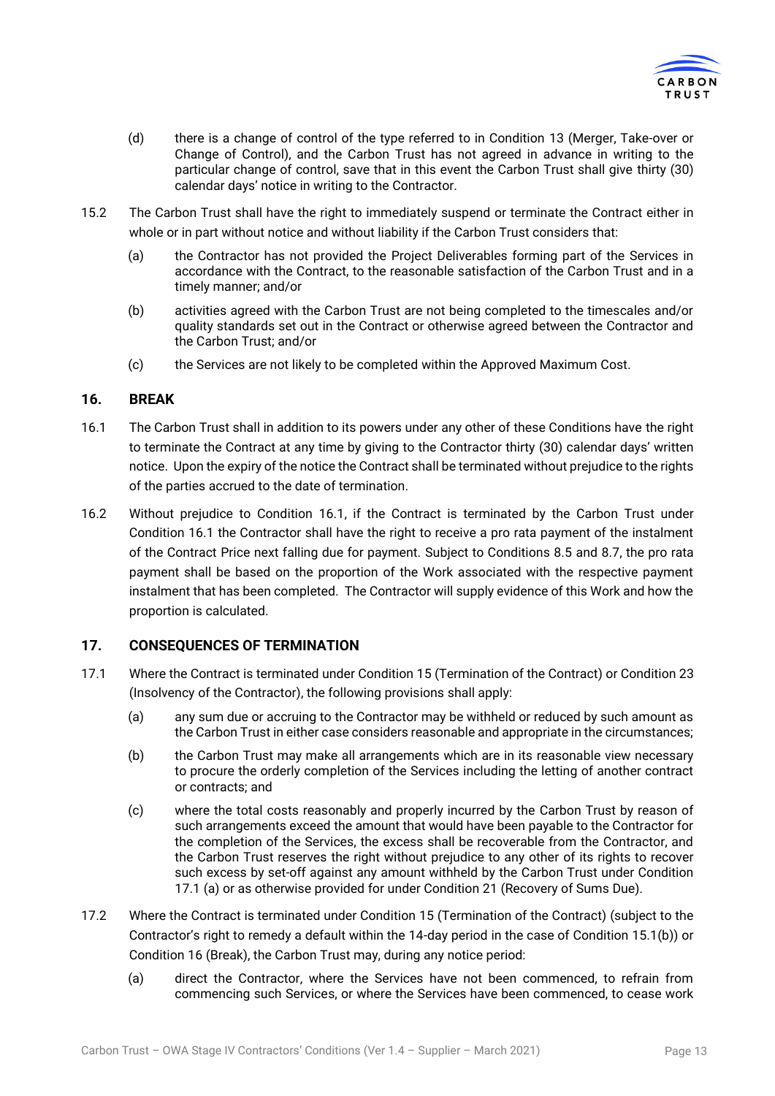

- (d) there is a change of control of the type referred to in Condition [13](#page-11-2) (Merger, Take-over or Change of Control), and the Carbon Trust has not agreed in advance in writing to the particular change of control, save that in this event the Carbon Trust shall give thirty (30) calendar days' notice in writing to the Contractor.
- 15.2 The Carbon Trust shall have the right to immediately suspend or terminate the Contract either in whole or in part without notice and without liability if the Carbon Trust considers that:
	- (a) the Contractor has not provided the Project Deliverables forming part of the Services in accordance with the Contract, to the reasonable satisfaction of the Carbon Trust and in a timely manner; and/or
	- (b) activities agreed with the Carbon Trust are not being completed to the timescales and/or quality standards set out in the Contract or otherwise agreed between the Contractor and the Carbon Trust; and/or
	- (c) the Services are not likely to be completed within the Approved Maximum Cost.

## <span id="page-12-2"></span>**16. BREAK**

- <span id="page-12-0"></span>16.1 The Carbon Trust shall in addition to its powers under any other of these Conditions have the right to terminate the Contract at any time by giving to the Contractor thirty (30) calendar days' written notice. Upon the expiry of the notice the Contract shall be terminated without prejudice to the rights of the parties accrued to the date of termination.
- <span id="page-12-3"></span>16.2 Without prejudice to Condition [16.1,](#page-12-0) if the Contract is terminated by the Carbon Trust under Condition [16.1](#page-12-0) the Contractor shall have the right to receive a pro rata payment of the instalment of the Contract Price next falling due for payment. Subject to Conditions [8.5](#page-7-0) and [8.7,](#page-7-1) the pro rata payment shall be based on the proportion of the Work associated with the respective payment instalment that has been completed. The Contractor will supply evidence of this Work and how the proportion is calculated.

## **17. CONSEQUENCES OF TERMINATION**

- <span id="page-12-1"></span>17.1 Where the Contract is terminated under Condition [15](#page-11-3) (Termination of the Contract) or Conditio[n 23](#page-16-0) (Insolvency of the Contractor), the following provisions shall apply:
	- (a) any sum due or accruing to the Contractor may be withheld or reduced by such amount as the Carbon Trust in either case considers reasonable and appropriate in the circumstances;
	- (b) the Carbon Trust may make all arrangements which are in its reasonable view necessary to procure the orderly completion of the Services including the letting of another contract or contracts; and
	- (c) where the total costs reasonably and properly incurred by the Carbon Trust by reason of such arrangements exceed the amount that would have been payable to the Contractor for the completion of the Services, the excess shall be recoverable from the Contractor, and the Carbon Trust reserves the right without prejudice to any other of its rights to recover such excess by set-off against any amount withheld by the Carbon Trust under Condition [17.1](#page-12-1) (a) or as otherwise provided for under Condition [21](#page-15-0) (Recovery of Sums Due).
- 17.2 Where the Contract is terminated under Condition [15](#page-11-3) (Termination of the Contract) (subject to the Contractor's right to remedy a default within the 14-day period in the case of Condition [15.1\(](#page-11-4)b)) or Condition [16](#page-12-2) (Break), the Carbon Trust may, during any notice period:
	- (a) direct the Contractor, where the Services have not been commenced, to refrain from commencing such Services, or where the Services have been commenced, to cease work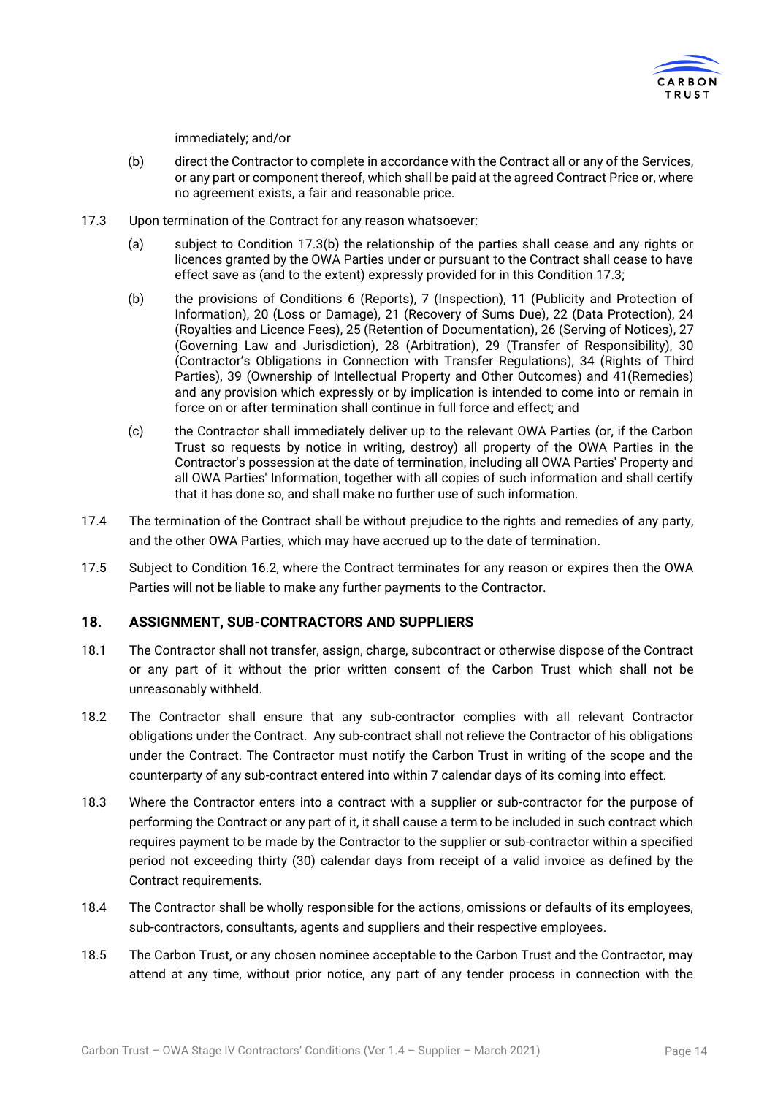

#### immediately; and/or

- (b) direct the Contractor to complete in accordance with the Contract all or any of the Services, or any part or component thereof, which shall be paid at the agreed Contract Price or, where no agreement exists, a fair and reasonable price.
- <span id="page-13-0"></span>17.3 Upon termination of the Contract for any reason whatsoever:
	- (a) subject to Condition [17.3\(](#page-13-0)b) the relationship of the parties shall cease and any rights or licences granted by the OWA Parties under or pursuant to the Contract shall cease to have effect save as (and to the extent) expressly provided for in this Condition [17.3;](#page-13-0)
	- (b) the provisions of Conditions [6](#page-6-1) (Reports), [7](#page-6-2) (Inspection), [11](#page-9-1) (Publicity and Protection of Information), [20](#page-15-1) (Loss or Damage), [21](#page-15-0) (Recovery of Sums Due), [22](#page-16-1) (Data Protection), [24](#page-16-2) (Royalties and Licence Fees), [25](#page-17-1) (Retention of Documentation)[, 26](#page-17-2) (Serving of Notices)[, 27](#page-18-0) (Governing Law and Jurisdiction), [28](#page-18-1) (Arbitration), [29](#page-18-2) (Transfer of Responsibility), [30](#page-19-0) (Contractor's Obligations in Connection with Transfer Regulations), [34](#page-20-0) (Rights of Third Parties), [39](#page-21-1) (Ownership of Intellectual Property and Other Outcomes) and [41\(](#page-24-0)Remedies) and any provision which expressly or by implication is intended to come into or remain in force on or after termination shall continue in full force and effect; and
	- (c) the Contractor shall immediately deliver up to the relevant OWA Parties (or, if the Carbon Trust so requests by notice in writing, destroy) all property of the OWA Parties in the Contractor's possession at the date of termination, including all OWA Parties' Property and all OWA Parties' Information, together with all copies of such information and shall certify that it has done so, and shall make no further use of such information.
- 17.4 The termination of the Contract shall be without prejudice to the rights and remedies of any party, and the other OWA Parties, which may have accrued up to the date of termination.
- 17.5 Subject to Condition [16.2,](#page-12-3) where the Contract terminates for any reason or expires then the OWA Parties will not be liable to make any further payments to the Contractor.

#### **18. ASSIGNMENT, SUB-CONTRACTORS AND SUPPLIERS**

- 18.1 The Contractor shall not transfer, assign, charge, subcontract or otherwise dispose of the Contract or any part of it without the prior written consent of the Carbon Trust which shall not be unreasonably withheld.
- 18.2 The Contractor shall ensure that any sub-contractor complies with all relevant Contractor obligations under the Contract. Any sub-contract shall not relieve the Contractor of his obligations under the Contract. The Contractor must notify the Carbon Trust in writing of the scope and the counterparty of any sub-contract entered into within 7 calendar days of its coming into effect.
- 18.3 Where the Contractor enters into a contract with a supplier or sub-contractor for the purpose of performing the Contract or any part of it, it shall cause a term to be included in such contract which requires payment to be made by the Contractor to the supplier or sub-contractor within a specified period not exceeding thirty (30) calendar days from receipt of a valid invoice as defined by the Contract requirements.
- 18.4 The Contractor shall be wholly responsible for the actions, omissions or defaults of its employees, sub-contractors, consultants, agents and suppliers and their respective employees.
- 18.5 The Carbon Trust, or any chosen nominee acceptable to the Carbon Trust and the Contractor, may attend at any time, without prior notice, any part of any tender process in connection with the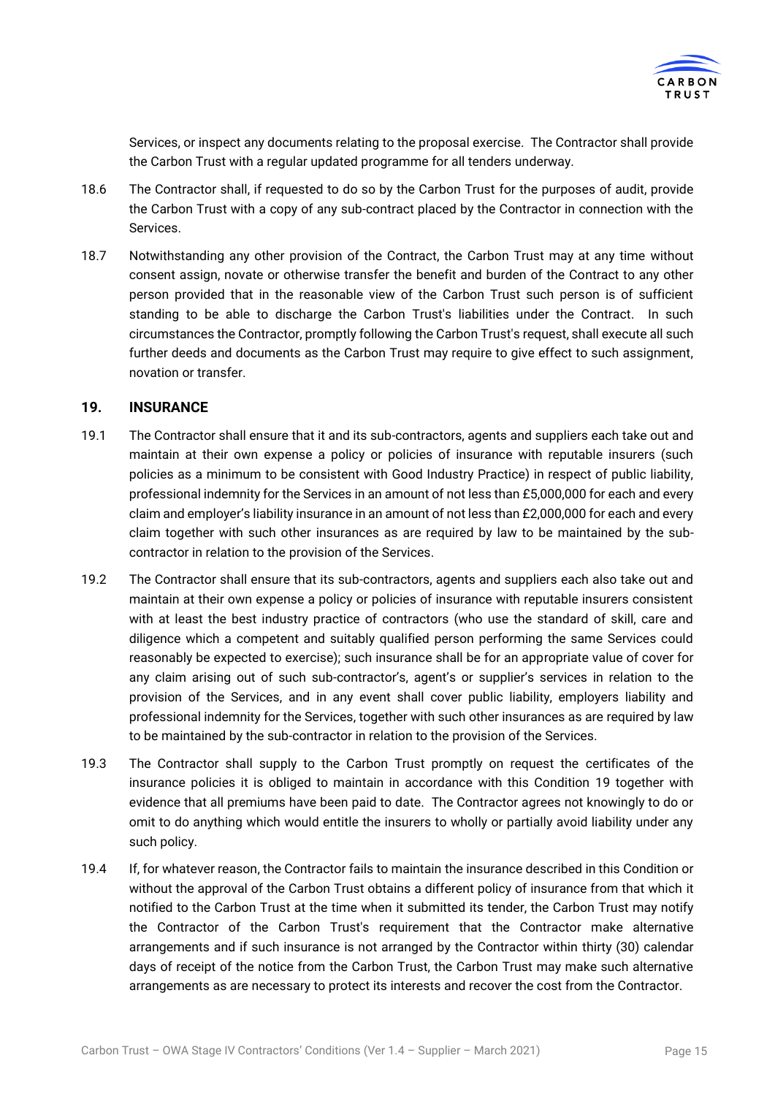

Services, or inspect any documents relating to the proposal exercise. The Contractor shall provide the Carbon Trust with a regular updated programme for all tenders underway.

- 18.6 The Contractor shall, if requested to do so by the Carbon Trust for the purposes of audit, provide the Carbon Trust with a copy of any sub-contract placed by the Contractor in connection with the Services.
- 18.7 Notwithstanding any other provision of the Contract, the Carbon Trust may at any time without consent assign, novate or otherwise transfer the benefit and burden of the Contract to any other person provided that in the reasonable view of the Carbon Trust such person is of sufficient standing to be able to discharge the Carbon Trust's liabilities under the Contract. In such circumstances the Contractor, promptly following the Carbon Trust's request, shall execute all such further deeds and documents as the Carbon Trust may require to give effect to such assignment, novation or transfer.

## <span id="page-14-0"></span>**19. INSURANCE**

- 19.1 The Contractor shall ensure that it and its sub-contractors, agents and suppliers each take out and maintain at their own expense a policy or policies of insurance with reputable insurers (such policies as a minimum to be consistent with Good Industry Practice) in respect of public liability, professional indemnity for the Services in an amount of not less than £5,000,000 for each and every claim and employer's liability insurance in an amount of not less than £2,000,000 for each and every claim together with such other insurances as are required by law to be maintained by the subcontractor in relation to the provision of the Services.
- 19.2 The Contractor shall ensure that its sub-contractors, agents and suppliers each also take out and maintain at their own expense a policy or policies of insurance with reputable insurers consistent with at least the best industry practice of contractors (who use the standard of skill, care and diligence which a competent and suitably qualified person performing the same Services could reasonably be expected to exercise); such insurance shall be for an appropriate value of cover for any claim arising out of such sub-contractor's, agent's or supplier's services in relation to the provision of the Services, and in any event shall cover public liability, employers liability and professional indemnity for the Services, together with such other insurances as are required by law to be maintained by the sub-contractor in relation to the provision of the Services.
- 19.3 The Contractor shall supply to the Carbon Trust promptly on request the certificates of the insurance policies it is obliged to maintain in accordance with this Condition [19](#page-14-0) together with evidence that all premiums have been paid to date. The Contractor agrees not knowingly to do or omit to do anything which would entitle the insurers to wholly or partially avoid liability under any such policy.
- 19.4 If, for whatever reason, the Contractor fails to maintain the insurance described in this Condition or without the approval of the Carbon Trust obtains a different policy of insurance from that which it notified to the Carbon Trust at the time when it submitted its tender, the Carbon Trust may notify the Contractor of the Carbon Trust's requirement that the Contractor make alternative arrangements and if such insurance is not arranged by the Contractor within thirty (30) calendar days of receipt of the notice from the Carbon Trust, the Carbon Trust may make such alternative arrangements as are necessary to protect its interests and recover the cost from the Contractor.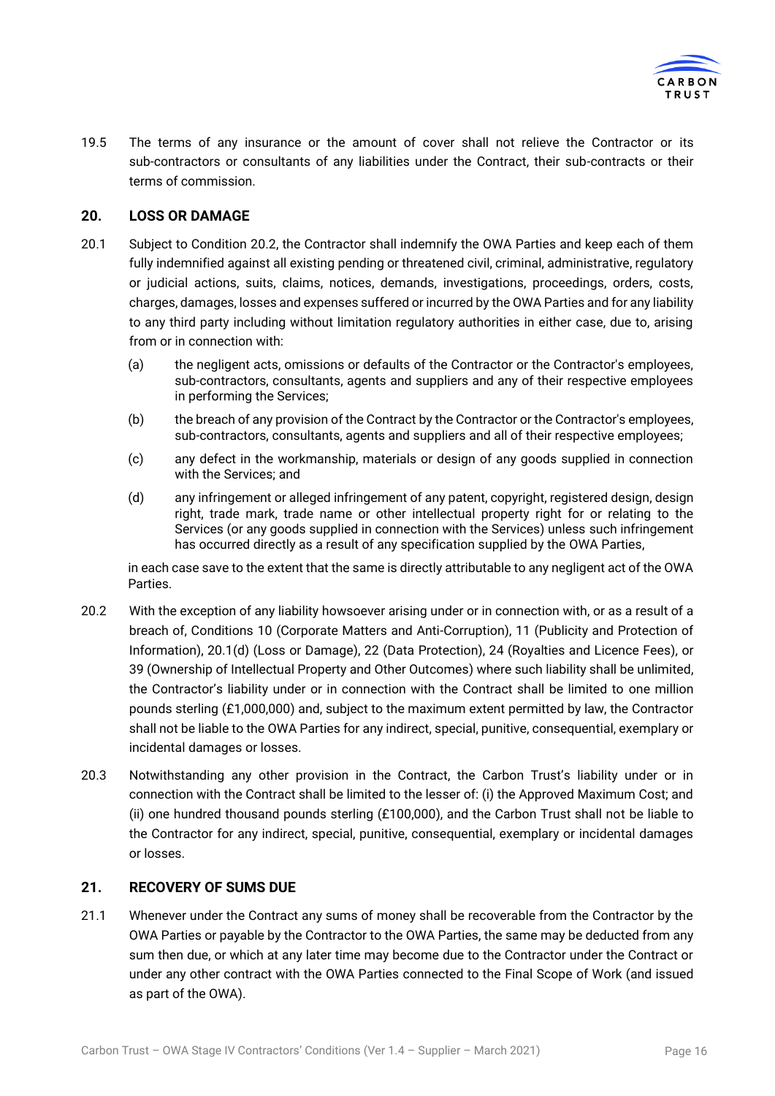

19.5 The terms of any insurance or the amount of cover shall not relieve the Contractor or its sub-contractors or consultants of any liabilities under the Contract, their sub-contracts or their terms of commission.

## <span id="page-15-1"></span>**20. LOSS OR DAMAGE**

- <span id="page-15-3"></span>20.1 Subject to Condition [20.2,](#page-15-2) the Contractor shall indemnify the OWA Parties and keep each of them fully indemnified against all existing pending or threatened civil, criminal, administrative, regulatory or judicial actions, suits, claims, notices, demands, investigations, proceedings, orders, costs, charges, damages, losses and expenses suffered or incurred by the OWA Parties and for any liability to any third party including without limitation regulatory authorities in either case, due to, arising from or in connection with:
	- (a) the negligent acts, omissions or defaults of the Contractor or the Contractor's employees, sub-contractors, consultants, agents and suppliers and any of their respective employees in performing the Services;
	- (b) the breach of any provision of the Contract by the Contractor or the Contractor's employees, sub-contractors, consultants, agents and suppliers and all of their respective employees;
	- (c) any defect in the workmanship, materials or design of any goods supplied in connection with the Services; and
	- (d) any infringement or alleged infringement of any patent, copyright, registered design, design right, trade mark, trade name or other intellectual property right for or relating to the Services (or any goods supplied in connection with the Services) unless such infringement has occurred directly as a result of any specification supplied by the OWA Parties,

in each case save to the extent that the same is directly attributable to any negligent act of the OWA Parties.

- <span id="page-15-2"></span>20.2 With the exception of any liability howsoever arising under or in connection with, or as a result of a breach of, Conditions [10](#page-8-2) (Corporate Matters and Anti-Corruption), [11](#page-9-1) (Publicity and Protection of Information), [20.1\(](#page-15-3)d) (Loss or Damage), [22](#page-16-1) (Data Protection), [24](#page-16-2) (Royalties and Licence Fees), or [39](#page-21-1) (Ownership of Intellectual Property and Other Outcomes) where such liability shall be unlimited, the Contractor's liability under or in connection with the Contract shall be limited to one million pounds sterling (£1,000,000) and, subject to the maximum extent permitted by law, the Contractor shall not be liable to the OWA Parties for any indirect, special, punitive, consequential, exemplary or incidental damages or losses.
- 20.3 Notwithstanding any other provision in the Contract, the Carbon Trust's liability under or in connection with the Contract shall be limited to the lesser of: (i) the Approved Maximum Cost; and (ii) one hundred thousand pounds sterling (£100,000), and the Carbon Trust shall not be liable to the Contractor for any indirect, special, punitive, consequential, exemplary or incidental damages or losses.

#### <span id="page-15-0"></span>**21. RECOVERY OF SUMS DUE**

21.1 Whenever under the Contract any sums of money shall be recoverable from the Contractor by the OWA Parties or payable by the Contractor to the OWA Parties, the same may be deducted from any sum then due, or which at any later time may become due to the Contractor under the Contract or under any other contract with the OWA Parties connected to the Final Scope of Work (and issued as part of the OWA).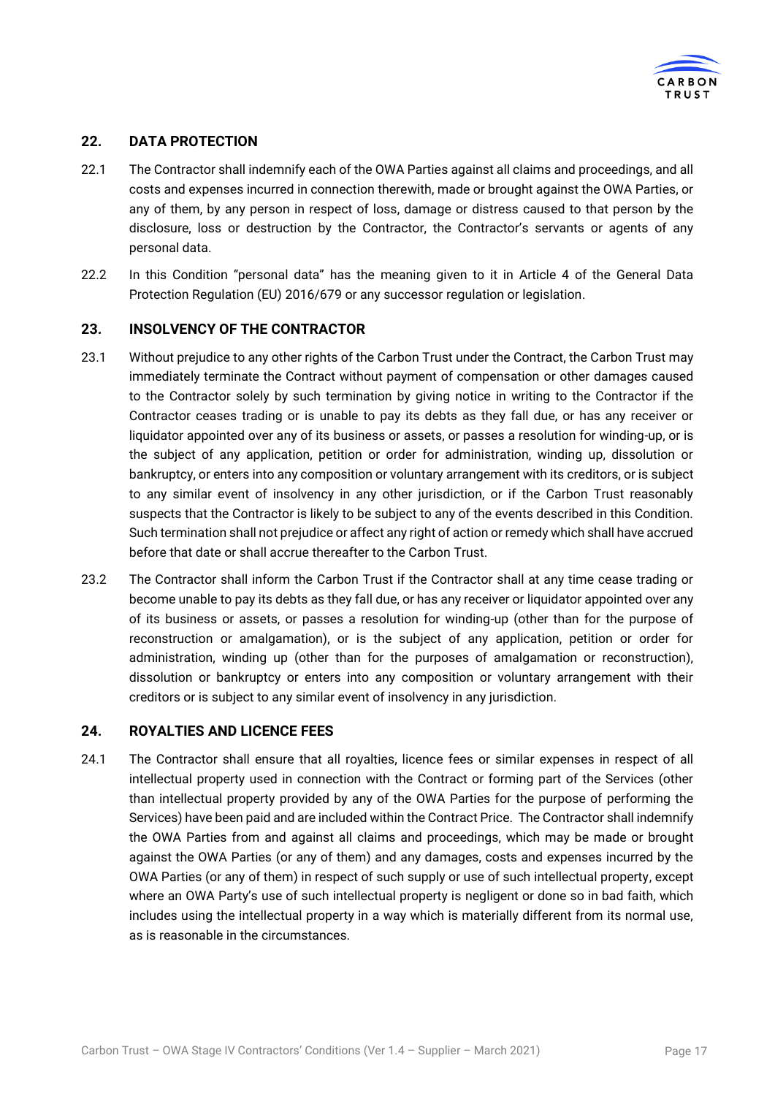

## <span id="page-16-1"></span>**22. DATA PROTECTION**

- 22.1 The Contractor shall indemnify each of the OWA Parties against all claims and proceedings, and all costs and expenses incurred in connection therewith, made or brought against the OWA Parties, or any of them, by any person in respect of loss, damage or distress caused to that person by the disclosure, loss or destruction by the Contractor, the Contractor's servants or agents of any personal data.
- 22.2 In this Condition "personal data" has the meaning given to it in Article 4 of the General Data Protection Regulation (EU) 2016/679 or any successor regulation or legislation.

## <span id="page-16-0"></span>**23. INSOLVENCY OF THE CONTRACTOR**

- 23.1 Without prejudice to any other rights of the Carbon Trust under the Contract, the Carbon Trust may immediately terminate the Contract without payment of compensation or other damages caused to the Contractor solely by such termination by giving notice in writing to the Contractor if the Contractor ceases trading or is unable to pay its debts as they fall due, or has any receiver or liquidator appointed over any of its business or assets, or passes a resolution for winding-up, or is the subject of any application, petition or order for administration, winding up, dissolution or bankruptcy, or enters into any composition or voluntary arrangement with its creditors, or is subject to any similar event of insolvency in any other jurisdiction, or if the Carbon Trust reasonably suspects that the Contractor is likely to be subject to any of the events described in this Condition. Such termination shall not prejudice or affect any right of action or remedy which shall have accrued before that date or shall accrue thereafter to the Carbon Trust.
- 23.2 The Contractor shall inform the Carbon Trust if the Contractor shall at any time cease trading or become unable to pay its debts as they fall due, or has any receiver or liquidator appointed over any of its business or assets, or passes a resolution for winding-up (other than for the purpose of reconstruction or amalgamation), or is the subject of any application, petition or order for administration, winding up (other than for the purposes of amalgamation or reconstruction), dissolution or bankruptcy or enters into any composition or voluntary arrangement with their creditors or is subject to any similar event of insolvency in any jurisdiction.

#### <span id="page-16-2"></span>**24. ROYALTIES AND LICENCE FEES**

24.1 The Contractor shall ensure that all royalties, licence fees or similar expenses in respect of all intellectual property used in connection with the Contract or forming part of the Services (other than intellectual property provided by any of the OWA Parties for the purpose of performing the Services) have been paid and are included within the Contract Price. The Contractor shall indemnify the OWA Parties from and against all claims and proceedings, which may be made or brought against the OWA Parties (or any of them) and any damages, costs and expenses incurred by the OWA Parties (or any of them) in respect of such supply or use of such intellectual property, except where an OWA Party's use of such intellectual property is negligent or done so in bad faith, which includes using the intellectual property in a way which is materially different from its normal use, as is reasonable in the circumstances.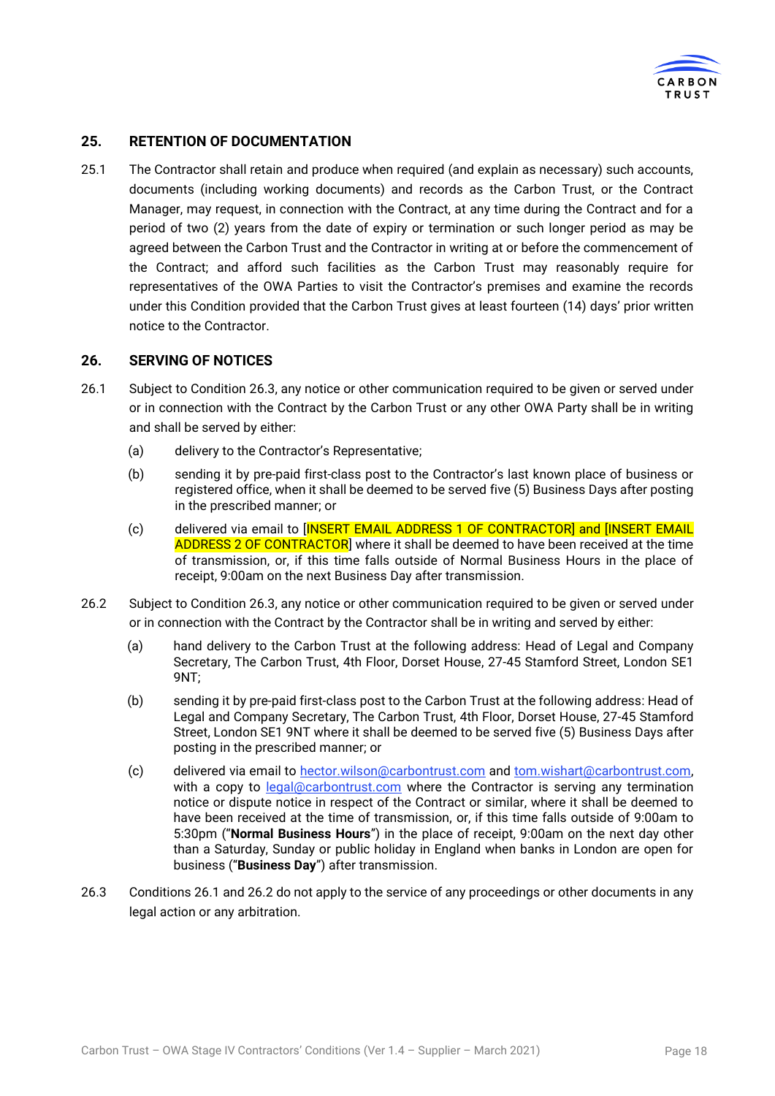

## <span id="page-17-1"></span>**25. RETENTION OF DOCUMENTATION**

25.1 The Contractor shall retain and produce when required (and explain as necessary) such accounts, documents (including working documents) and records as the Carbon Trust, or the Contract Manager, may request, in connection with the Contract, at any time during the Contract and for a period of two (2) years from the date of expiry or termination or such longer period as may be agreed between the Carbon Trust and the Contractor in writing at or before the commencement of the Contract; and afford such facilities as the Carbon Trust may reasonably require for representatives of the OWA Parties to visit the Contractor's premises and examine the records under this Condition provided that the Carbon Trust gives at least fourteen (14) days' prior written notice to the Contractor.

#### <span id="page-17-2"></span>**26. SERVING OF NOTICES**

- <span id="page-17-4"></span>26.1 Subject to Condition [26.3,](#page-17-3) any notice or other communication required to be given or served under or in connection with the Contract by the Carbon Trust or any other OWA Party shall be in writing and shall be served by either:
	- (a) delivery to the Contractor's Representative;
	- (b) sending it by pre-paid first-class post to the Contractor's last known place of business or registered office, when it shall be deemed to be served five (5) Business Days after posting in the prescribed manner; or
	- (c) delivered via email to [INSERT EMAIL ADDRESS 1 OF CONTRACTOR] and [INSERT EMAIL ADDRESS 2 OF CONTRACTOR] where it shall be deemed to have been received at the time of transmission, or, if this time falls outside of Normal Business Hours in the place of receipt, 9:00am on the next Business Day after transmission.
- <span id="page-17-0"></span>26.2 Subject to Condition [26.3,](#page-17-3) any notice or other communication required to be given or served under or in connection with the Contract by the Contractor shall be in writing and served by either:
	- (a) hand delivery to the Carbon Trust at the following address: Head of Legal and Company Secretary, The Carbon Trust, 4th Floor, Dorset House, 27-45 Stamford Street, London SE1 9NT;
	- (b) sending it by pre-paid first-class post to the Carbon Trust at the following address: Head of Legal and Company Secretary, The Carbon Trust, 4th Floor, Dorset House, 27-45 Stamford Street, London SE1 9NT where it shall be deemed to be served five (5) Business Days after posting in the prescribed manner; or
	- (c) delivered via email to [hector.wilson@carbontrust.com](mailto:hector.wilson@carbontrust.com) and [tom.wishart@carbontrust.com,](mailto:tom.wishart@carbontrust.com) with a copy to **legal@carbontrust.com** where the Contractor is serving any termination notice or dispute notice in respect of the Contract or similar, where it shall be deemed to have been received at the time of transmission, or, if this time falls outside of 9:00am to 5:30pm ("**Normal Business Hours**") in the place of receipt, 9:00am on the next day other than a Saturday, Sunday or public holiday in England when banks in London are open for business ("**Business Day**") after transmission.
- <span id="page-17-3"></span>26.3 Conditions [26.1](#page-17-4) and [26.2](#page-17-0) do not apply to the service of any proceedings or other documents in any legal action or any arbitration.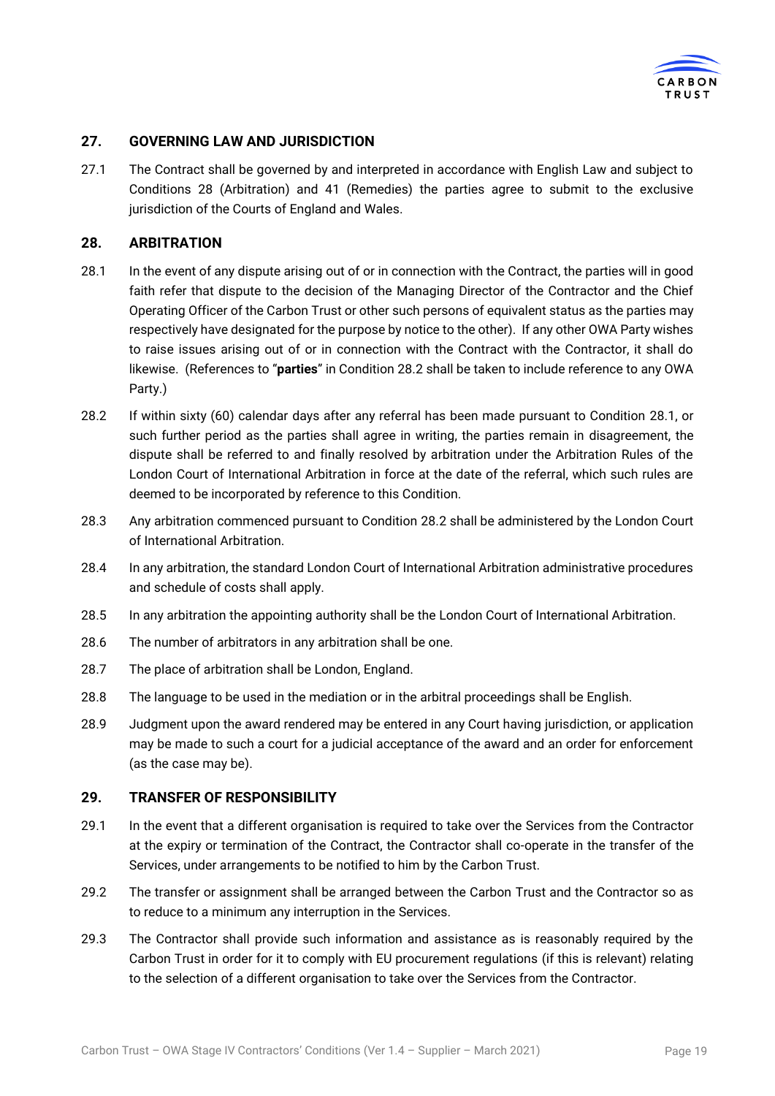

## <span id="page-18-0"></span>**27. GOVERNING LAW AND JURISDICTION**

27.1 The Contract shall be governed by and interpreted in accordance with English Law and subject to Conditions [28](#page-18-1) (Arbitration) and [41](#page-24-0) (Remedies) the parties agree to submit to the exclusive jurisdiction of the Courts of England and Wales.

## <span id="page-18-1"></span>**28. ARBITRATION**

- <span id="page-18-4"></span>28.1 In the event of any dispute arising out of or in connection with the Contract, the parties will in good faith refer that dispute to the decision of the Managing Director of the Contractor and the Chief Operating Officer of the Carbon Trust or other such persons of equivalent status as the parties may respectively have designated for the purpose by notice to the other). If any other OWA Party wishes to raise issues arising out of or in connection with the Contract with the Contractor, it shall do likewise. (References to "**parties**" in Condition [28.2](#page-18-3) shall be taken to include reference to any OWA Party.)
- <span id="page-18-3"></span>28.2 If within sixty (60) calendar days after any referral has been made pursuant to Condition [28.1,](#page-18-4) or such further period as the parties shall agree in writing, the parties remain in disagreement, the dispute shall be referred to and finally resolved by arbitration under the Arbitration Rules of the London Court of International Arbitration in force at the date of the referral, which such rules are deemed to be incorporated by reference to this Condition.
- 28.3 Any arbitration commenced pursuant to Condition [28.2](#page-18-3) shall be administered by the London Court of International Arbitration.
- 28.4 In any arbitration, the standard London Court of International Arbitration administrative procedures and schedule of costs shall apply.
- 28.5 In any arbitration the appointing authority shall be the London Court of International Arbitration.
- 28.6 The number of arbitrators in any arbitration shall be one.
- 28.7 The place of arbitration shall be London, England.
- 28.8 The language to be used in the mediation or in the arbitral proceedings shall be English.
- 28.9 Judgment upon the award rendered may be entered in any Court having jurisdiction, or application may be made to such a court for a judicial acceptance of the award and an order for enforcement (as the case may be).

#### <span id="page-18-2"></span>**29. TRANSFER OF RESPONSIBILITY**

- <span id="page-18-5"></span>29.1 In the event that a different organisation is required to take over the Services from the Contractor at the expiry or termination of the Contract, the Contractor shall co-operate in the transfer of the Services, under arrangements to be notified to him by the Carbon Trust.
- <span id="page-18-6"></span>29.2 The transfer or assignment shall be arranged between the Carbon Trust and the Contractor so as to reduce to a minimum any interruption in the Services.
- 29.3 The Contractor shall provide such information and assistance as is reasonably required by the Carbon Trust in order for it to comply with EU procurement regulations (if this is relevant) relating to the selection of a different organisation to take over the Services from the Contractor.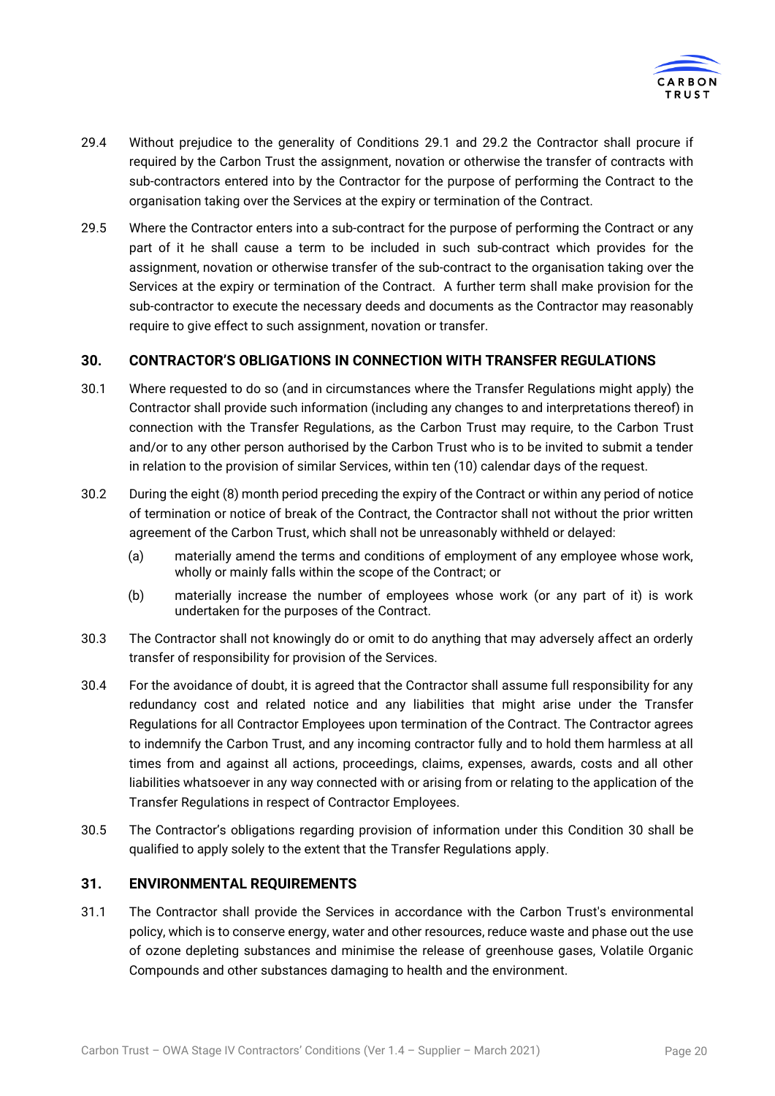

- 29.4 Without prejudice to the generality of Conditions [29.1](#page-18-5) and [29.2](#page-18-6) the Contractor shall procure if required by the Carbon Trust the assignment, novation or otherwise the transfer of contracts with sub-contractors entered into by the Contractor for the purpose of performing the Contract to the organisation taking over the Services at the expiry or termination of the Contract.
- 29.5 Where the Contractor enters into a sub-contract for the purpose of performing the Contract or any part of it he shall cause a term to be included in such sub-contract which provides for the assignment, novation or otherwise transfer of the sub-contract to the organisation taking over the Services at the expiry or termination of the Contract. A further term shall make provision for the sub-contractor to execute the necessary deeds and documents as the Contractor may reasonably require to give effect to such assignment, novation or transfer.

## <span id="page-19-0"></span>**30. CONTRACTOR'S OBLIGATIONS IN CONNECTION WITH TRANSFER REGULATIONS**

- 30.1 Where requested to do so (and in circumstances where the Transfer Regulations might apply) the Contractor shall provide such information (including any changes to and interpretations thereof) in connection with the Transfer Regulations, as the Carbon Trust may require, to the Carbon Trust and/or to any other person authorised by the Carbon Trust who is to be invited to submit a tender in relation to the provision of similar Services, within ten (10) calendar days of the request.
- 30.2 During the eight (8) month period preceding the expiry of the Contract or within any period of notice of termination or notice of break of the Contract, the Contractor shall not without the prior written agreement of the Carbon Trust, which shall not be unreasonably withheld or delayed:
	- (a) materially amend the terms and conditions of employment of any employee whose work, wholly or mainly falls within the scope of the Contract; or
	- (b) materially increase the number of employees whose work (or any part of it) is work undertaken for the purposes of the Contract.
- 30.3 The Contractor shall not knowingly do or omit to do anything that may adversely affect an orderly transfer of responsibility for provision of the Services.
- 30.4 For the avoidance of doubt, it is agreed that the Contractor shall assume full responsibility for any redundancy cost and related notice and any liabilities that might arise under the Transfer Regulations for all Contractor Employees upon termination of the Contract. The Contractor agrees to indemnify the Carbon Trust, and any incoming contractor fully and to hold them harmless at all times from and against all actions, proceedings, claims, expenses, awards, costs and all other liabilities whatsoever in any way connected with or arising from or relating to the application of the Transfer Regulations in respect of Contractor Employees.
- 30.5 The Contractor's obligations regarding provision of information under this Condition [30](#page-19-0) shall be qualified to apply solely to the extent that the Transfer Regulations apply.

#### **31. ENVIRONMENTAL REQUIREMENTS**

31.1 The Contractor shall provide the Services in accordance with the Carbon Trust's environmental policy, which is to conserve energy, water and other resources, reduce waste and phase out the use of ozone depleting substances and minimise the release of greenhouse gases, Volatile Organic Compounds and other substances damaging to health and the environment.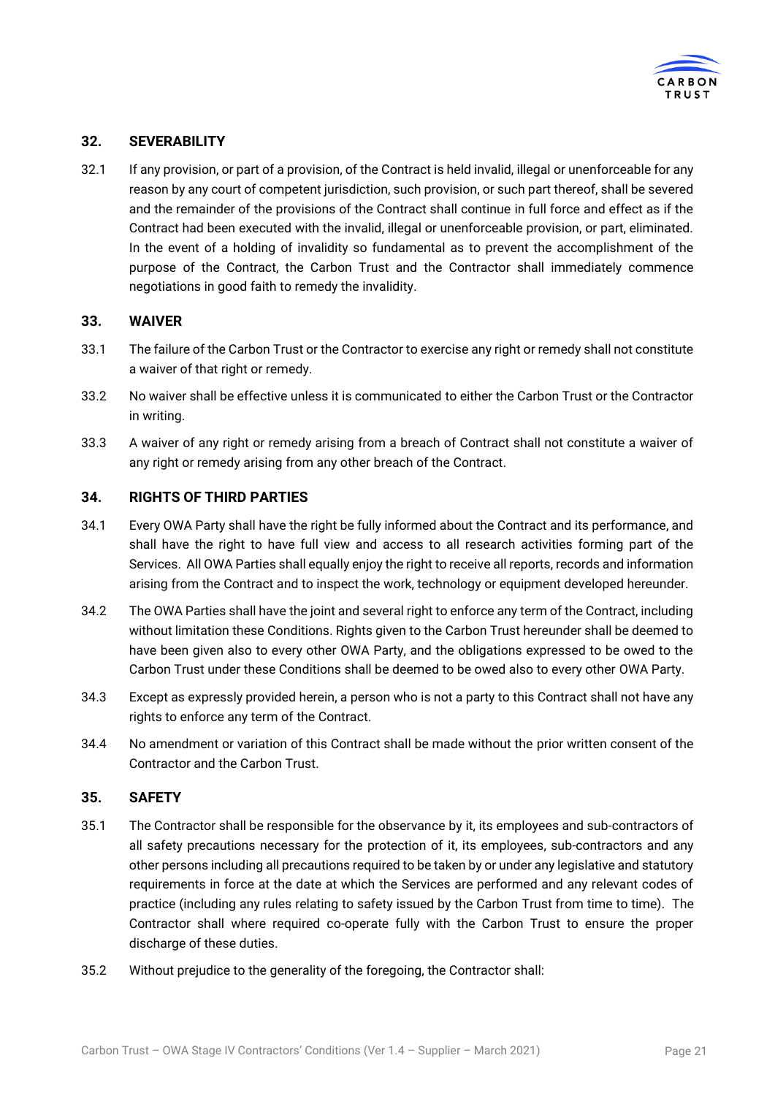

## **32. SEVERABILITY**

32.1 If any provision, or part of a provision, of the Contract is held invalid, illegal or unenforceable for any reason by any court of competent jurisdiction, such provision, or such part thereof, shall be severed and the remainder of the provisions of the Contract shall continue in full force and effect as if the Contract had been executed with the invalid, illegal or unenforceable provision, or part, eliminated. In the event of a holding of invalidity so fundamental as to prevent the accomplishment of the purpose of the Contract, the Carbon Trust and the Contractor shall immediately commence negotiations in good faith to remedy the invalidity.

## **33. WAIVER**

- 33.1 The failure of the Carbon Trust or the Contractor to exercise any right or remedy shall not constitute a waiver of that right or remedy.
- 33.2 No waiver shall be effective unless it is communicated to either the Carbon Trust or the Contractor in writing.
- 33.3 A waiver of any right or remedy arising from a breach of Contract shall not constitute a waiver of any right or remedy arising from any other breach of the Contract.

## <span id="page-20-0"></span>**34. RIGHTS OF THIRD PARTIES**

- 34.1 Every OWA Party shall have the right be fully informed about the Contract and its performance, and shall have the right to have full view and access to all research activities forming part of the Services. All OWA Parties shall equally enjoy the right to receive all reports, records and information arising from the Contract and to inspect the work, technology or equipment developed hereunder.
- 34.2 The OWA Parties shall have the joint and several right to enforce any term of the Contract, including without limitation these Conditions. Rights given to the Carbon Trust hereunder shall be deemed to have been given also to every other OWA Party, and the obligations expressed to be owed to the Carbon Trust under these Conditions shall be deemed to be owed also to every other OWA Party.
- 34.3 Except as expressly provided herein, a person who is not a party to this Contract shall not have any rights to enforce any term of the Contract.
- 34.4 No amendment or variation of this Contract shall be made without the prior written consent of the Contractor and the Carbon Trust.

#### **35. SAFETY**

- 35.1 The Contractor shall be responsible for the observance by it, its employees and sub-contractors of all safety precautions necessary for the protection of it, its employees, sub-contractors and any other persons including all precautions required to be taken by or under any legislative and statutory requirements in force at the date at which the Services are performed and any relevant codes of practice (including any rules relating to safety issued by the Carbon Trust from time to time). The Contractor shall where required co-operate fully with the Carbon Trust to ensure the proper discharge of these duties.
- 35.2 Without prejudice to the generality of the foregoing, the Contractor shall: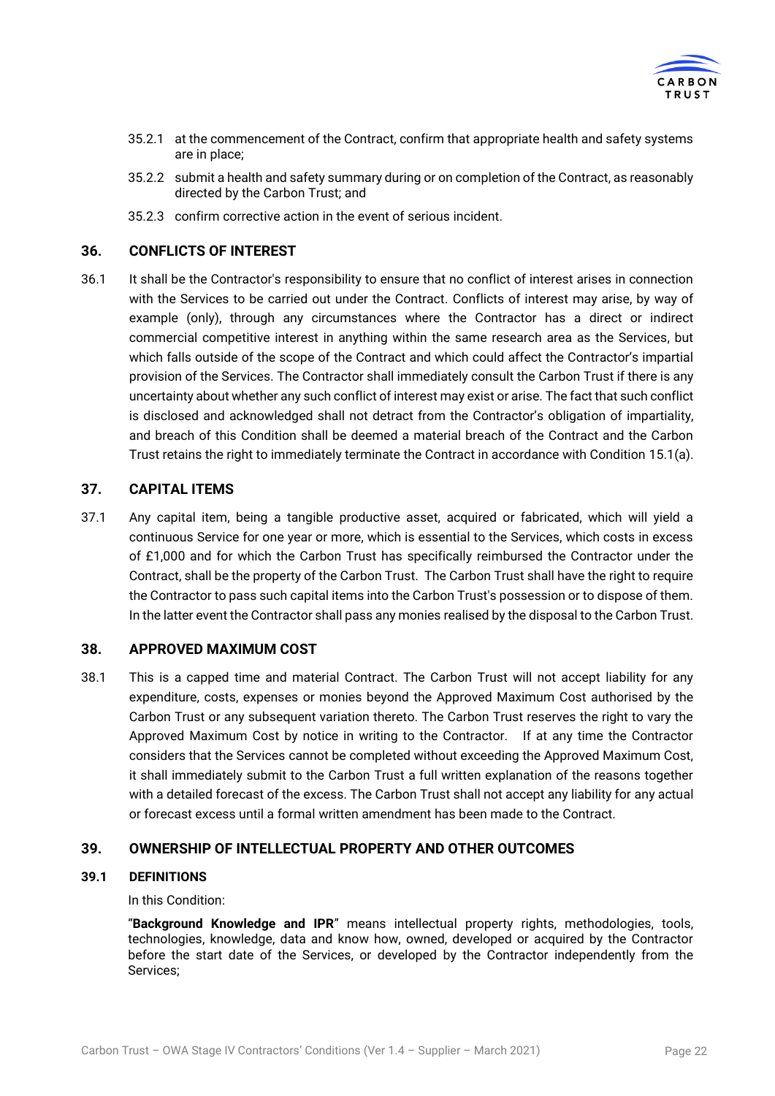

- 35.2.1 at the commencement of the Contract, confirm that appropriate health and safety systems are in place;
- 35.2.2 submit a health and safety summary during or on completion of the Contract, as reasonably directed by the Carbon Trust; and
- 35.2.3 confirm corrective action in the event of serious incident.

#### <span id="page-21-0"></span>**36. CONFLICTS OF INTEREST**

36.1 It shall be the Contractor's responsibility to ensure that no conflict of interest arises in connection with the Services to be carried out under the Contract. Conflicts of interest may arise, by way of example (only), through any circumstances where the Contractor has a direct or indirect commercial competitive interest in anything within the same research area as the Services, but which falls outside of the scope of the Contract and which could affect the Contractor's impartial provision of the Services. The Contractor shall immediately consult the Carbon Trust if there is any uncertainty about whether any such conflict of interest may exist or arise. The fact that such conflict is disclosed and acknowledged shall not detract from the Contractor's obligation of impartiality, and breach of this Condition shall be deemed a material breach of the Contract and the Carbon Trust retains the right to immediately terminate the Contract in accordance with Condition [15.1\(](#page-11-4)a).

## **37. CAPITAL ITEMS**

37.1 Any capital item, being a tangible productive asset, acquired or fabricated, which will yield a continuous Service for one year or more, which is essential to the Services, which costs in excess of £1,000 and for which the Carbon Trust has specifically reimbursed the Contractor under the Contract, shall be the property of the Carbon Trust. The Carbon Trust shall have the right to require the Contractor to pass such capital items into the Carbon Trust's possession or to dispose of them. In the latter event the Contractor shall pass any monies realised by the disposal to the Carbon Trust.

## **38. APPROVED MAXIMUM COST**

38.1 This is a capped time and material Contract. The Carbon Trust will not accept liability for any expenditure, costs, expenses or monies beyond the Approved Maximum Cost authorised by the Carbon Trust or any subsequent variation thereto. The Carbon Trust reserves the right to vary the Approved Maximum Cost by notice in writing to the Contractor. If at any time the Contractor considers that the Services cannot be completed without exceeding the Approved Maximum Cost, it shall immediately submit to the Carbon Trust a full written explanation of the reasons together with a detailed forecast of the excess. The Carbon Trust shall not accept any liability for any actual or forecast excess until a formal written amendment has been made to the Contract.

## <span id="page-21-1"></span>**39. OWNERSHIP OF INTELLECTUAL PROPERTY AND OTHER OUTCOMES**

## **39.1 DEFINITIONS**

In this Condition:

"**Background Knowledge and IPR**" means intellectual property rights, methodologies, tools, technologies, knowledge, data and know how, owned, developed or acquired by the Contractor before the start date of the Services, or developed by the Contractor independently from the Services;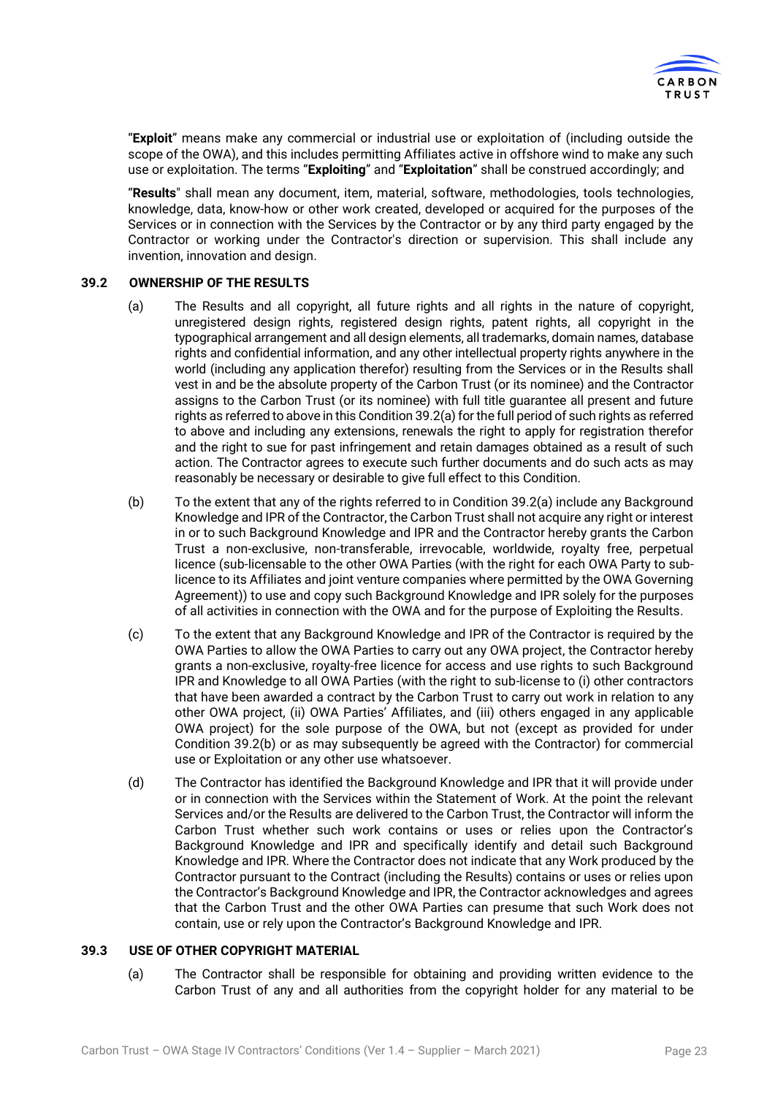

"**Exploit**" means make any commercial or industrial use or exploitation of (including outside the scope of the OWA), and this includes permitting Affiliates active in offshore wind to make any such use or exploitation. The terms "**Exploiting**" and "**Exploitation**" shall be construed accordingly; and

"**Results**" shall mean any document, item, material, software, methodologies, tools technologies, knowledge, data, know-how or other work created, developed or acquired for the purposes of the Services or in connection with the Services by the Contractor or by any third party engaged by the Contractor or working under the Contractor's direction or supervision. This shall include any invention, innovation and design.

#### <span id="page-22-0"></span>**39.2 OWNERSHIP OF THE RESULTS**

- (a) The Results and all copyright, all future rights and all rights in the nature of copyright, unregistered design rights, registered design rights, patent rights, all copyright in the typographical arrangement and all design elements, all trademarks, domain names, database rights and confidential information, and any other intellectual property rights anywhere in the world (including any application therefor) resulting from the Services or in the Results shall vest in and be the absolute property of the Carbon Trust (or its nominee) and the Contractor assigns to the Carbon Trust (or its nominee) with full title guarantee all present and future rights as referred to above in this Conditio[n 39.2\(](#page-22-0)a) for the full period of such rights as referred to above and including any extensions, renewals the right to apply for registration therefor and the right to sue for past infringement and retain damages obtained as a result of such action. The Contractor agrees to execute such further documents and do such acts as may reasonably be necessary or desirable to give full effect to this Condition.
- (b) To the extent that any of the rights referred to in Condition [39.2\(](#page-22-0)a) include any Background Knowledge and IPR of the Contractor, the Carbon Trust shall not acquire any right or interest in or to such Background Knowledge and IPR and the Contractor hereby grants the Carbon Trust a non-exclusive, non-transferable, irrevocable, worldwide, royalty free, perpetual licence (sub-licensable to the other OWA Parties (with the right for each OWA Party to sublicence to its Affiliates and joint venture companies where permitted by the OWA Governing Agreement)) to use and copy such Background Knowledge and IPR solely for the purposes of all activities in connection with the OWA and for the purpose of Exploiting the Results.
- (c) To the extent that any Background Knowledge and IPR of the Contractor is required by the OWA Parties to allow the OWA Parties to carry out any OWA project, the Contractor hereby grants a non-exclusive, royalty-free licence for access and use rights to such Background IPR and Knowledge to all OWA Parties (with the right to sub-license to (i) other contractors that have been awarded a contract by the Carbon Trust to carry out work in relation to any other OWA project, (ii) OWA Parties' Affiliates, and (iii) others engaged in any applicable OWA project) for the sole purpose of the OWA, but not (except as provided for under Condition [39.2\(](#page-22-0)b) or as may subsequently be agreed with the Contractor) for commercial use or Exploitation or any other use whatsoever.
- (d) The Contractor has identified the Background Knowledge and IPR that it will provide under or in connection with the Services within the Statement of Work. At the point the relevant Services and/or the Results are delivered to the Carbon Trust, the Contractor will inform the Carbon Trust whether such work contains or uses or relies upon the Contractor's Background Knowledge and IPR and specifically identify and detail such Background Knowledge and IPR. Where the Contractor does not indicate that any Work produced by the Contractor pursuant to the Contract (including the Results) contains or uses or relies upon the Contractor's Background Knowledge and IPR, the Contractor acknowledges and agrees that the Carbon Trust and the other OWA Parties can presume that such Work does not contain, use or rely upon the Contractor's Background Knowledge and IPR.

#### **39.3 USE OF OTHER COPYRIGHT MATERIAL**

(a) The Contractor shall be responsible for obtaining and providing written evidence to the Carbon Trust of any and all authorities from the copyright holder for any material to be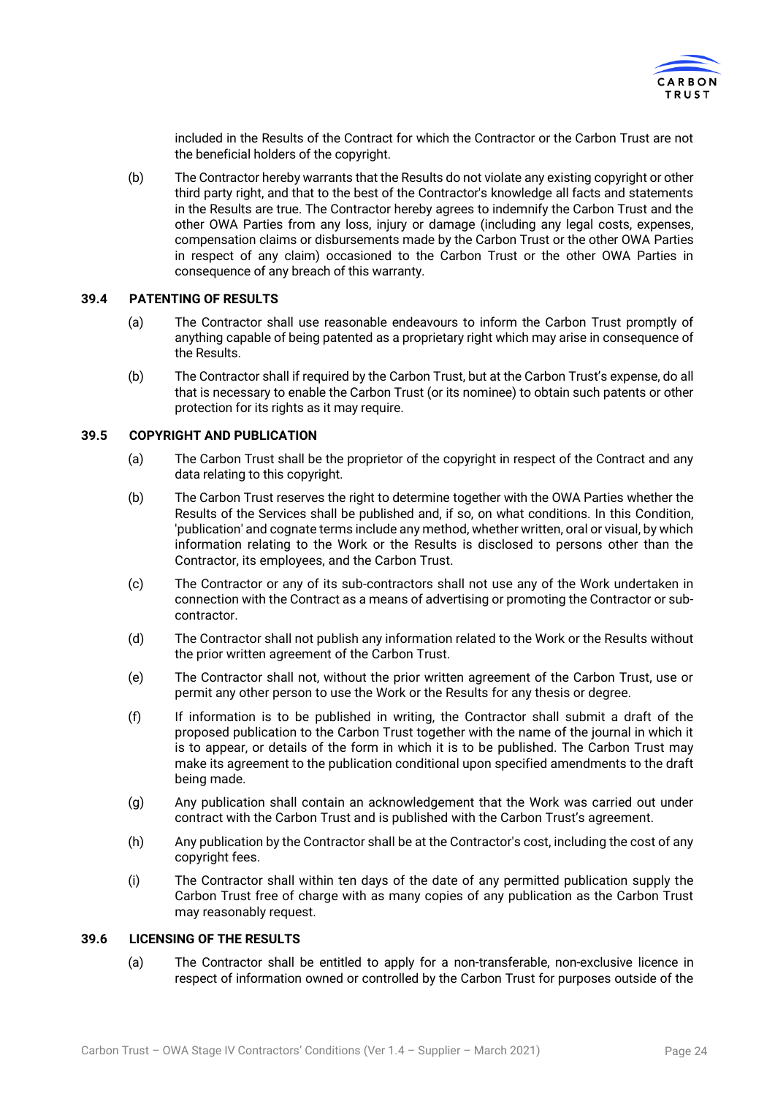

included in the Results of the Contract for which the Contractor or the Carbon Trust are not the beneficial holders of the copyright.

(b) The Contractor hereby warrants that the Results do not violate any existing copyright or other third party right, and that to the best of the Contractor's knowledge all facts and statements in the Results are true. The Contractor hereby agrees to indemnify the Carbon Trust and the other OWA Parties from any loss, injury or damage (including any legal costs, expenses, compensation claims or disbursements made by the Carbon Trust or the other OWA Parties in respect of any claim) occasioned to the Carbon Trust or the other OWA Parties in consequence of any breach of this warranty.

#### **39.4 PATENTING OF RESULTS**

- (a) The Contractor shall use reasonable endeavours to inform the Carbon Trust promptly of anything capable of being patented as a proprietary right which may arise in consequence of the Results.
- (b) The Contractor shall if required by the Carbon Trust, but at the Carbon Trust's expense, do all that is necessary to enable the Carbon Trust (or its nominee) to obtain such patents or other protection for its rights as it may require.

#### **39.5 COPYRIGHT AND PUBLICATION**

- (a) The Carbon Trust shall be the proprietor of the copyright in respect of the Contract and any data relating to this copyright.
- (b) The Carbon Trust reserves the right to determine together with the OWA Parties whether the Results of the Services shall be published and, if so, on what conditions. In this Condition, 'publication' and cognate terms include any method, whether written, oral or visual, by which information relating to the Work or the Results is disclosed to persons other than the Contractor, its employees, and the Carbon Trust.
- (c) The Contractor or any of its sub-contractors shall not use any of the Work undertaken in connection with the Contract as a means of advertising or promoting the Contractor or subcontractor.
- (d) The Contractor shall not publish any information related to the Work or the Results without the prior written agreement of the Carbon Trust.
- (e) The Contractor shall not, without the prior written agreement of the Carbon Trust, use or permit any other person to use the Work or the Results for any thesis or degree.
- (f) If information is to be published in writing, the Contractor shall submit a draft of the proposed publication to the Carbon Trust together with the name of the journal in which it is to appear, or details of the form in which it is to be published. The Carbon Trust may make its agreement to the publication conditional upon specified amendments to the draft being made.
- (g) Any publication shall contain an acknowledgement that the Work was carried out under contract with the Carbon Trust and is published with the Carbon Trust's agreement.
- (h) Any publication by the Contractor shall be at the Contractor's cost, including the cost of any copyright fees.
- (i) The Contractor shall within ten days of the date of any permitted publication supply the Carbon Trust free of charge with as many copies of any publication as the Carbon Trust may reasonably request.

#### **39.6 LICENSING OF THE RESULTS**

(a) The Contractor shall be entitled to apply for a non-transferable, non-exclusive licence in respect of information owned or controlled by the Carbon Trust for purposes outside of the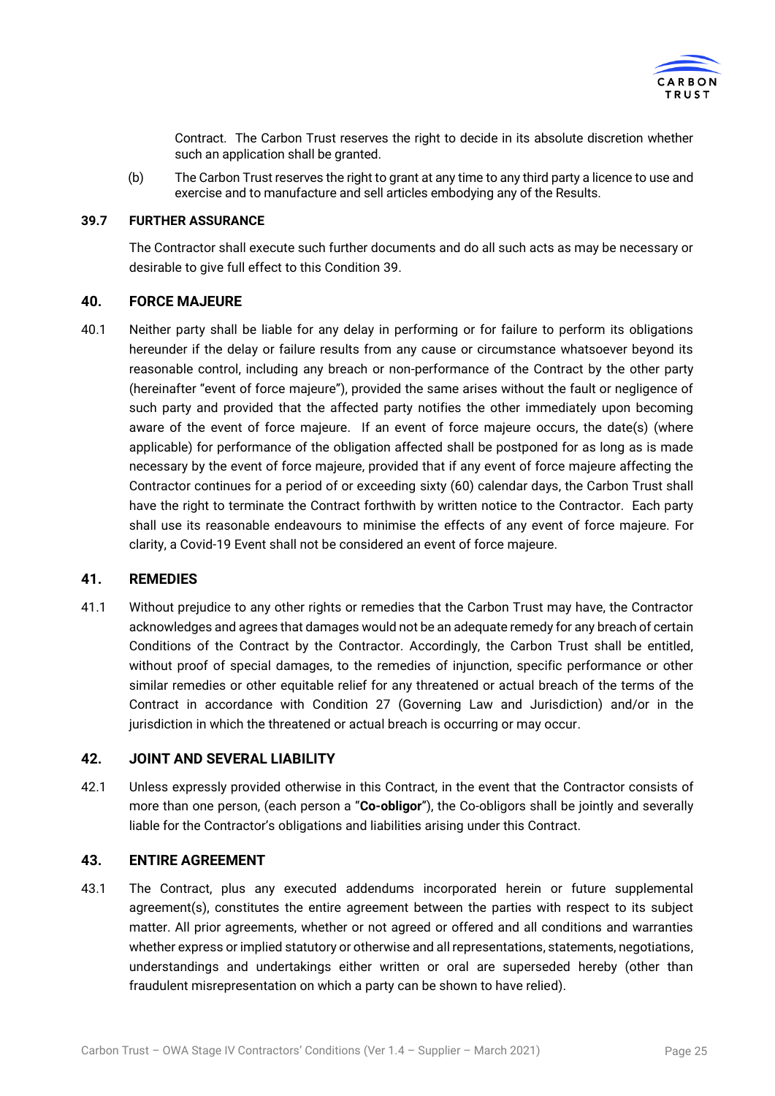

Contract. The Carbon Trust reserves the right to decide in its absolute discretion whether such an application shall be granted.

(b) The Carbon Trust reserves the right to grant at any time to any third party a licence to use and exercise and to manufacture and sell articles embodying any of the Results.

## **39.7 FURTHER ASSURANCE**

The Contractor shall execute such further documents and do all such acts as may be necessary or desirable to give full effect to this Conditio[n 39.](#page-21-1)

#### **40. FORCE MAJEURE**

40.1 Neither party shall be liable for any delay in performing or for failure to perform its obligations hereunder if the delay or failure results from any cause or circumstance whatsoever beyond its reasonable control, including any breach or non-performance of the Contract by the other party (hereinafter "event of force majeure"), provided the same arises without the fault or negligence of such party and provided that the affected party notifies the other immediately upon becoming aware of the event of force majeure. If an event of force majeure occurs, the date(s) (where applicable) for performance of the obligation affected shall be postponed for as long as is made necessary by the event of force majeure, provided that if any event of force majeure affecting the Contractor continues for a period of or exceeding sixty (60) calendar days, the Carbon Trust shall have the right to terminate the Contract forthwith by written notice to the Contractor. Each party shall use its reasonable endeavours to minimise the effects of any event of force majeure. For clarity, a Covid-19 Event shall not be considered an event of force majeure.

## <span id="page-24-0"></span>**41. REMEDIES**

41.1 Without prejudice to any other rights or remedies that the Carbon Trust may have, the Contractor acknowledges and agrees that damages would not be an adequate remedy for any breach of certain Conditions of the Contract by the Contractor. Accordingly, the Carbon Trust shall be entitled, without proof of special damages, to the remedies of injunction, specific performance or other similar remedies or other equitable relief for any threatened or actual breach of the terms of the Contract in accordance with Condition [27](#page-18-0) (Governing Law and Jurisdiction) and/or in the jurisdiction in which the threatened or actual breach is occurring or may occur.

#### **42. JOINT AND SEVERAL LIABILITY**

42.1 Unless expressly provided otherwise in this Contract, in the event that the Contractor consists of more than one person, (each person a "**Co-obligor**"), the Co-obligors shall be jointly and severally liable for the Contractor's obligations and liabilities arising under this Contract.

#### **43. ENTIRE AGREEMENT**

43.1 The Contract, plus any executed addendums incorporated herein or future supplemental agreement(s), constitutes the entire agreement between the parties with respect to its subject matter. All prior agreements, whether or not agreed or offered and all conditions and warranties whether express or implied statutory or otherwise and all representations, statements, negotiations, understandings and undertakings either written or oral are superseded hereby (other than fraudulent misrepresentation on which a party can be shown to have relied).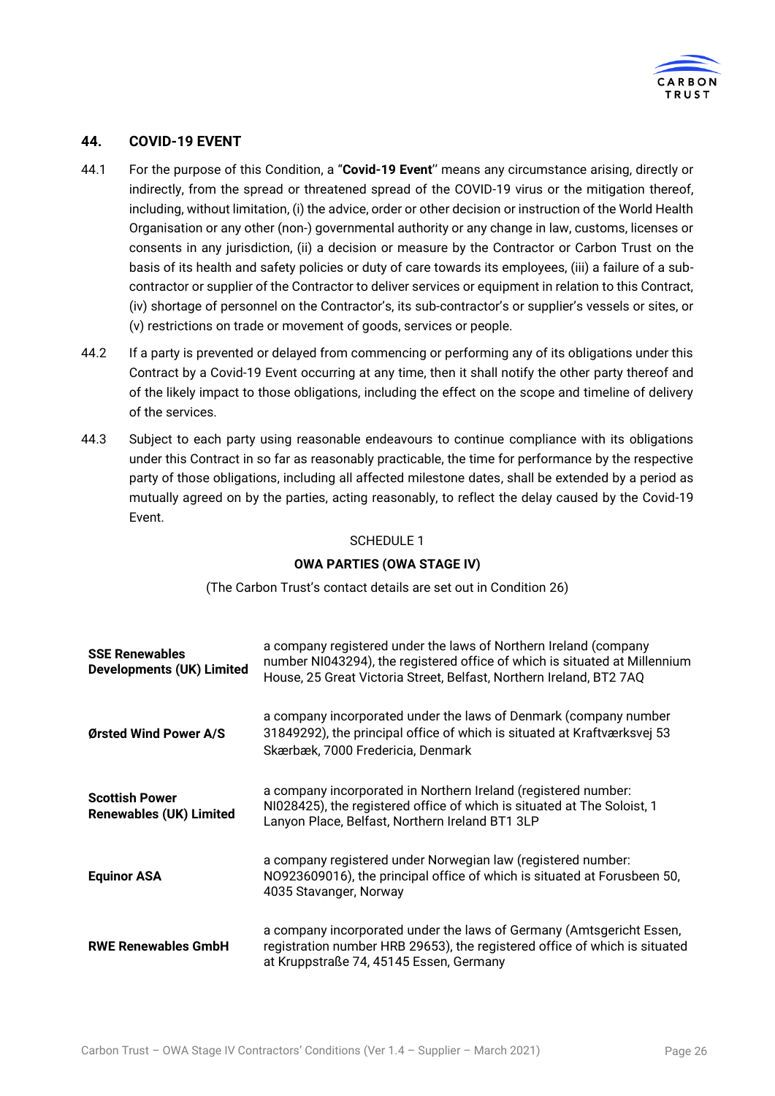

## **44. COVID-19 EVENT**

- 44.1 For the purpose of this Condition, a "**Covid-19 Event**'' means any circumstance arising, directly or indirectly, from the spread or threatened spread of the COVID-19 virus or the mitigation thereof, including, without limitation, (i) the advice, order or other decision or instruction of the World Health Organisation or any other (non-) governmental authority or any change in law, customs, licenses or consents in any jurisdiction, (ii) a decision or measure by the Contractor or Carbon Trust on the basis of its health and safety policies or duty of care towards its employees, (iii) a failure of a subcontractor or supplier of the Contractor to deliver services or equipment in relation to this Contract, (iv) shortage of personnel on the Contractor's, its sub-contractor's or supplier's vessels or sites, or (v) restrictions on trade or movement of goods, services or people.
- 44.2 If a party is prevented or delayed from commencing or performing any of its obligations under this Contract by a Covid-19 Event occurring at any time, then it shall notify the other party thereof and of the likely impact to those obligations, including the effect on the scope and timeline of delivery of the services.
- 44.3 Subject to each party using reasonable endeavours to continue compliance with its obligations under this Contract in so far as reasonably practicable, the time for performance by the respective party of those obligations, including all affected milestone dates, shall be extended by a period as mutually agreed on by the parties, acting reasonably, to reflect the delay caused by the Covid-19 Event.

#### SCHEDULE 1

#### **OWA PARTIES (OWA STAGE IV)**

(The Carbon Trust's contact details are set out in Condition [26\)](#page-17-2)

| <b>SSE Renewables</b><br><b>Developments (UK) Limited</b> | a company registered under the laws of Northern Ireland (company<br>number NI043294), the registered office of which is situated at Millennium<br>House, 25 Great Victoria Street, Belfast, Northern Ireland, BT2 7AQ |
|-----------------------------------------------------------|-----------------------------------------------------------------------------------------------------------------------------------------------------------------------------------------------------------------------|
| Ørsted Wind Power A/S                                     | a company incorporated under the laws of Denmark (company number<br>31849292), the principal office of which is situated at Kraftværksvej 53<br>Skærbæk, 7000 Fredericia, Denmark                                     |
| <b>Scottish Power</b><br><b>Renewables (UK) Limited</b>   | a company incorporated in Northern Ireland (registered number:<br>NI028425), the registered office of which is situated at The Soloist, 1<br>Lanyon Place, Belfast, Northern Ireland BT1 3LP                          |
| <b>Equinor ASA</b>                                        | a company registered under Norwegian law (registered number:<br>NO923609016), the principal office of which is situated at Forusbeen 50,<br>4035 Stavanger, Norway                                                    |
| <b>RWE Renewables GmbH</b>                                | a company incorporated under the laws of Germany (Amtsgericht Essen,<br>registration number HRB 29653), the registered office of which is situated<br>at Kruppstraße 74, 45145 Essen, Germany                         |